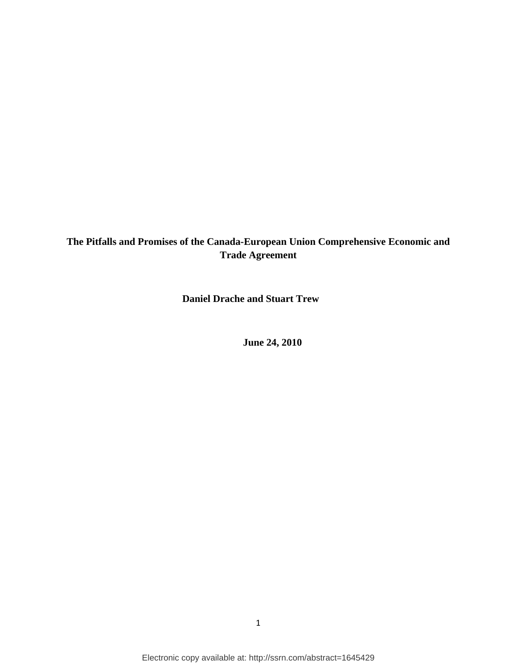## **The Pitfalls and Promises of the Canada-European Union Comprehensive Economic and Trade Agreement**

**Daniel Drache and Stuart Trew**

**June 24, 2010**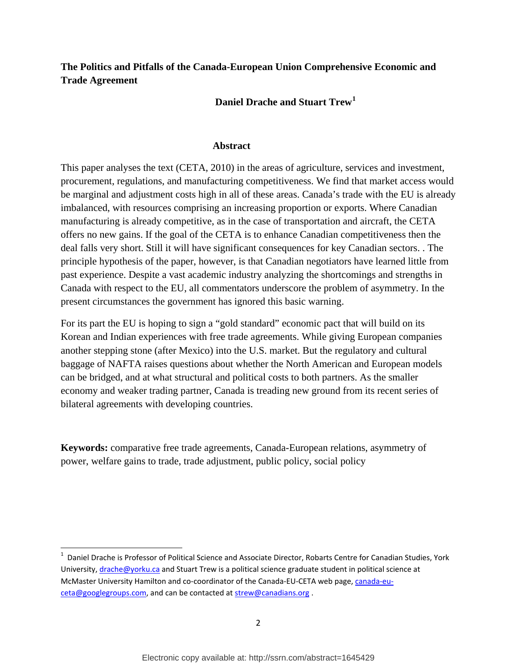## **The Politics and Pitfalls of the Canada-European Union Comprehensive Economic and Trade Agreement**

**Daniel Drache and Stuart Trew[1](#page-1-0)**

#### **Abstract**

This paper analyses the text (CETA, 2010) in the areas of agriculture, services and investment, procurement, regulations, and manufacturing competitiveness. We find that market access would be marginal and adjustment costs high in all of these areas. Canada's trade with the EU is already imbalanced, with resources comprising an increasing proportion or exports. Where Canadian manufacturing is already competitive, as in the case of transportation and aircraft, the CETA offers no new gains. If the goal of the CETA is to enhance Canadian competitiveness then the deal falls very short. Still it will have significant consequences for key Canadian sectors. . The principle hypothesis of the paper, however, is that Canadian negotiators have learned little from past experience. Despite a vast academic industry analyzing the shortcomings and strengths in Canada with respect to the EU, all commentators underscore the problem of asymmetry. In the present circumstances the government has ignored this basic warning.

For its part the EU is hoping to sign a "gold standard" economic pact that will build on its Korean and Indian experiences with free trade agreements. While giving European companies another stepping stone (after Mexico) into the U.S. market. But the regulatory and cultural baggage of NAFTA raises questions about whether the North American and European models can be bridged, and at what structural and political costs to both partners. As the smaller economy and weaker trading partner, Canada is treading new ground from its recent series of bilateral agreements with developing countries.

**Keywords:** comparative free trade agreements, Canada-European relations, asymmetry of power, welfare gains to trade, trade adjustment, public policy, social policy

<span id="page-1-0"></span> $\frac{1}{1}$  $1$  Daniel Drache is Professor of Political Science and Associate Director, Robarts Centre for Canadian Studies, York University, [drache@yorku.ca](mailto:drache@yorku.ca) and Stuart Trew is a political science graduate student in political science at McMaster University Hamilton and co-coordinator of the Canada-EU-CETA web page, [canada-eu](mailto:canada-eu-ceta@googlegroups.com)[ceta@googlegroups.com,](mailto:canada-eu-ceta@googlegroups.com) and can be contacted at [strew@canadians.org](mailto:strew@canadians.org) .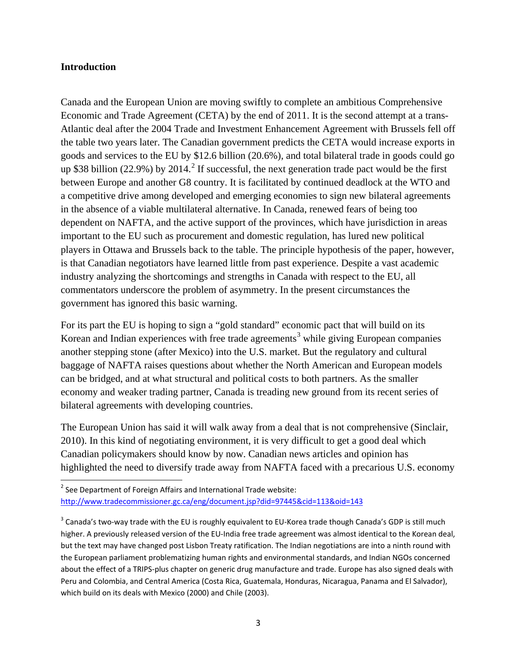#### **Introduction**

Canada and the European Union are moving swiftly to complete an ambitious Comprehensive Economic and Trade Agreement (CETA) by the end of 2011. It is the second attempt at a trans-Atlantic deal after the 2004 Trade and Investment Enhancement Agreement with Brussels fell off the table two years later. The Canadian government predicts the CETA would increase exports in goods and services to the EU by \$12.6 billion (20.6%), and total bilateral trade in goods could go up \$38 billion ([2](#page-2-0)2.9%) by 2014.<sup>2</sup> If successful, the next generation trade pact would be the first between Europe and another G8 country. It is facilitated by continued deadlock at the WTO and a competitive drive among developed and emerging economies to sign new bilateral agreements in the absence of a viable multilateral alternative. In Canada, renewed fears of being too dependent on NAFTA, and the active support of the provinces, which have jurisdiction in areas important to the EU such as procurement and domestic regulation, has lured new political players in Ottawa and Brussels back to the table. The principle hypothesis of the paper, however, is that Canadian negotiators have learned little from past experience. Despite a vast academic industry analyzing the shortcomings and strengths in Canada with respect to the EU, all commentators underscore the problem of asymmetry. In the present circumstances the government has ignored this basic warning.

For its part the EU is hoping to sign a "gold standard" economic pact that will build on its Korean and Indian experiences with free trade agreements<sup>[3](#page-2-1)</sup> while giving European companies another stepping stone (after Mexico) into the U.S. market. But the regulatory and cultural baggage of NAFTA raises questions about whether the North American and European models can be bridged, and at what structural and political costs to both partners. As the smaller economy and weaker trading partner, Canada is treading new ground from its recent series of bilateral agreements with developing countries.

The European Union has said it will walk away from a deal that is not comprehensive (Sinclair, 2010). In this kind of negotiating environment, it is very difficult to get a good deal which Canadian policymakers should know by now. Canadian news articles and opinion has highlighted the need to diversify trade away from NAFTA faced with a precarious U.S. economy

<span id="page-2-0"></span> $2$  See Department of Foreign Affairs and International Trade website: <http://www.tradecommissioner.gc.ca/eng/document.jsp?did=97445&cid=113&oid=143>

<span id="page-2-1"></span><sup>&</sup>lt;sup>3</sup> Canada's two-way trade with the EU is roughly equivalent to EU-Korea trade though Canada's GDP is still much higher. A previously released version of the EU-India free trade agreement was almost identical to the Korean deal, but the text may have changed post Lisbon Treaty ratification. The Indian negotiations are into a ninth round with the European parliament problematizing human rights and environmental standards, and Indian NGOs concerned about the effect of a TRIPS-plus chapter on generic drug manufacture and trade. Europe has also signed deals with Peru and Colombia, and Central America (Costa Rica, Guatemala, Honduras, Nicaragua, Panama and El Salvador), which build on its deals with Mexico (2000) and Chile (2003).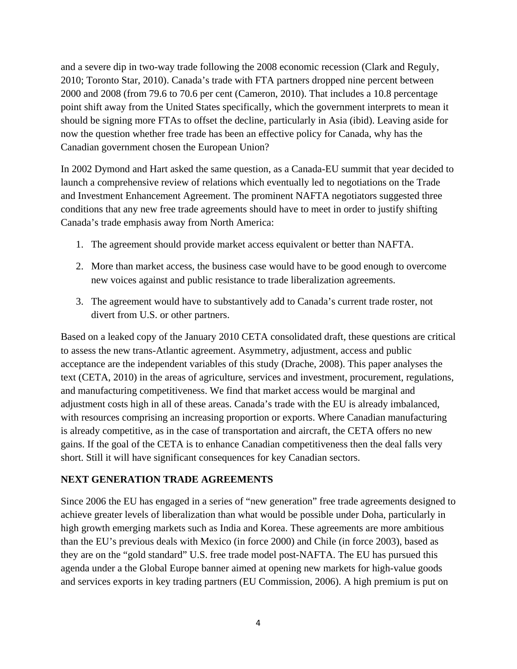and a severe dip in two-way trade following the 2008 economic recession (Clark and Reguly, 2010; Toronto Star, 2010). Canada's trade with FTA partners dropped nine percent between 2000 and 2008 (from 79.6 to 70.6 per cent (Cameron, 2010). That includes a 10.8 percentage point shift away from the United States specifically, which the government interprets to mean it should be signing more FTAs to offset the decline, particularly in Asia (ibid). Leaving aside for now the question whether free trade has been an effective policy for Canada, why has the Canadian government chosen the European Union?

In 2002 Dymond and Hart asked the same question, as a Canada-EU summit that year decided to launch a comprehensive review of relations which eventually led to negotiations on the Trade and Investment Enhancement Agreement. The prominent NAFTA negotiators suggested three conditions that any new free trade agreements should have to meet in order to justify shifting Canada's trade emphasis away from North America:

- 1. The agreement should provide market access equivalent or better than NAFTA.
- 2. More than market access, the business case would have to be good enough to overcome new voices against and public resistance to trade liberalization agreements.
- 3. The agreement would have to substantively add to Canada's current trade roster, not divert from U.S. or other partners.

Based on a leaked copy of the January 2010 CETA consolidated draft, these questions are critical to assess the new trans-Atlantic agreement. Asymmetry, adjustment, access and public acceptance are the independent variables of this study (Drache, 2008). This paper analyses the text (CETA, 2010) in the areas of agriculture, services and investment, procurement, regulations, and manufacturing competitiveness. We find that market access would be marginal and adjustment costs high in all of these areas. Canada's trade with the EU is already imbalanced, with resources comprising an increasing proportion or exports. Where Canadian manufacturing is already competitive, as in the case of transportation and aircraft, the CETA offers no new gains. If the goal of the CETA is to enhance Canadian competitiveness then the deal falls very short. Still it will have significant consequences for key Canadian sectors.

#### **NEXT GENERATION TRADE AGREEMENTS**

Since 2006 the EU has engaged in a series of "new generation" free trade agreements designed to achieve greater levels of liberalization than what would be possible under Doha, particularly in high growth emerging markets such as India and Korea. These agreements are more ambitious than the EU's previous deals with Mexico (in force 2000) and Chile (in force 2003), based as they are on the "gold standard" U.S. free trade model post-NAFTA. The EU has pursued this agenda under a the Global Europe banner aimed at opening new markets for high-value goods and services exports in key trading partners (EU Commission, 2006). A high premium is put on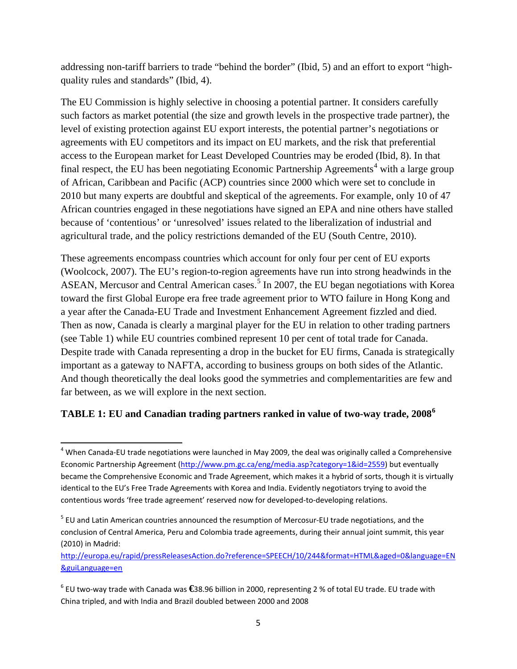addressing non-tariff barriers to trade "behind the border" (Ibid, 5) and an effort to export "highquality rules and standards" (Ibid, 4).

The EU Commission is highly selective in choosing a potential partner. It considers carefully such factors as market potential (the size and growth levels in the prospective trade partner), the level of existing protection against EU export interests, the potential partner's negotiations or agreements with EU competitors and its impact on EU markets, and the risk that preferential access to the European market for Least Developed Countries may be eroded (Ibid, 8). In that final respect, the EU has been negotiating Economic Partnership Agreements<sup>[4](#page-4-0)</sup> with a large group of African, Caribbean and Pacific (ACP) countries since 2000 which were set to conclude in 2010 but many experts are doubtful and skeptical of the agreements. For example, only 10 of 47 African countries engaged in these negotiations have signed an EPA and nine others have stalled because of 'contentious' or 'unresolved' issues related to the liberalization of industrial and agricultural trade, and the policy restrictions demanded of the EU (South Centre, 2010).

These agreements encompass countries which account for only four per cent of EU exports (Woolcock, 2007). The EU's region-to-region agreements have run into strong headwinds in the ASEAN, Mercusor and Central American cases.<sup>[5](#page-4-1)</sup> In 2007, the EU began negotiations with Korea toward the first Global Europe era free trade agreement prior to WTO failure in Hong Kong and a year after the Canada-EU Trade and Investment Enhancement Agreement fizzled and died. Then as now, Canada is clearly a marginal player for the EU in relation to other trading partners (see Table 1) while EU countries combined represent 10 per cent of total trade for Canada. Despite trade with Canada representing a drop in the bucket for EU firms, Canada is strategically important as a gateway to NAFTA, according to business groups on both sides of the Atlantic. And though theoretically the deal looks good the symmetries and complementarities are few and far between, as we will explore in the next section.

## **TABLE 1: EU and Canadian trading partners ranked in value of two-way trade, 2008 [6](#page-4-2)**

<span id="page-4-0"></span><sup>&</sup>lt;sup>4</sup> When Canada-EU trade negotiations were launched in May 2009, the deal was originally called a Comprehensive Economic Partnership Agreement [\(http://www.pm.gc.ca/eng/media.asp?category=1&id=2559\)](http://www.pm.gc.ca/eng/media.asp?category=1&id=2559) but eventually became the Comprehensive Economic and Trade Agreement, which makes it a hybrid of sorts, though it is virtually identical to the EU's Free Trade Agreements with Korea and India. Evidently negotiators trying to avoid the contentious words 'free trade agreement' reserved now for developed-to-developing relations.

<span id="page-4-1"></span><sup>&</sup>lt;sup>5</sup> EU and Latin American countries announced the resumption of Mercosur-EU trade negotiations, and the conclusion of Central America, Peru and Colombia trade agreements, during their annual joint summit, this year (2010) in Madrid:

[http://europa.eu/rapid/pressReleasesAction.do?reference=SPEECH/10/244&format=HTML&aged=0&language=EN](http://europa.eu/rapid/pressReleasesAction.do?reference=SPEECH/10/244&format=HTML&aged=0&language=EN&guiLanguage=en) [&guiLanguage=en](http://europa.eu/rapid/pressReleasesAction.do?reference=SPEECH/10/244&format=HTML&aged=0&language=EN&guiLanguage=en)

<span id="page-4-2"></span><sup>6</sup> EU two-way trade with Canada was **€**38.96 billion in 2000, representing 2 % of total EU trade. EU trade with China tripled, and with India and Brazil doubled between 2000 and 2008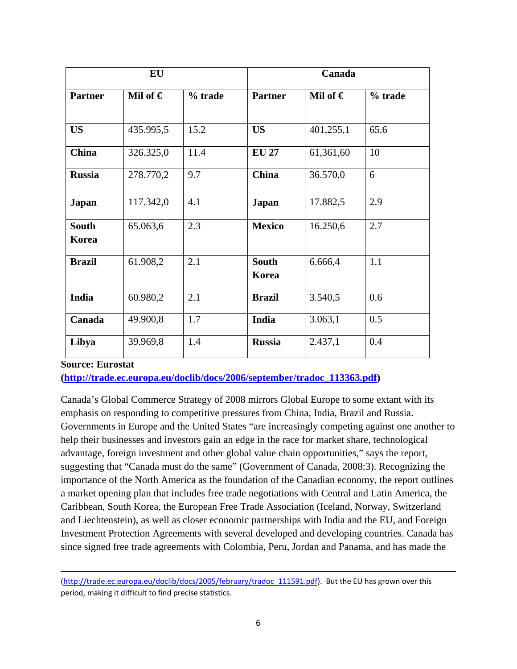| EU                    |                   |         | Canada                |              |         |
|-----------------------|-------------------|---------|-----------------------|--------------|---------|
| <b>Partner</b>        | Mil of $\epsilon$ | % trade | <b>Partner</b>        | Mil of $\in$ | % trade |
|                       |                   |         |                       |              |         |
| <b>US</b>             | 435.995,5         | 15.2    | <b>US</b>             | 401,255,1    | 65.6    |
| <b>China</b>          | 326.325,0         | 11.4    | <b>EU 27</b>          | 61,361,60    | 10      |
| <b>Russia</b>         | 278.770,2         | 9.7     | <b>China</b>          | 36.570,0     | 6       |
| <b>Japan</b>          | 117.342,0         | 4.1     | <b>Japan</b>          | 17.882,5     | 2.9     |
| <b>South</b><br>Korea | 65.063,6          | 2.3     | <b>Mexico</b>         | 16.250,6     | 2.7     |
| <b>Brazil</b>         | 61.908,2          | 2.1     | <b>South</b><br>Korea | 6.666,4      | 1.1     |
| India                 | 60.980,2          | 2.1     | <b>Brazil</b>         | 3.540,5      | 0.6     |
| Canada                | 49.900,8          | 1.7     | India                 | 3.063,1      | 0.5     |
| Libya                 | 39.969,8          | 1.4     | <b>Russia</b>         | 2.437,1      | 0.4     |

#### **Source: Eurostat**

 $\overline{\phantom{0}}$ 

**[\(http://trade.ec.europa.eu/doclib/docs/2006/september/tradoc\\_113363.pdf\)](http://trade.ec.europa.eu/doclib/docs/2006/september/tradoc_113363.pdf)** 

Canada's Global Commerce Strategy of 2008 mirrors Global Europe to some extant with its emphasis on responding to competitive pressures from China, India, Brazil and Russia. Governments in Europe and the United States "are increasingly competing against one another to help their businesses and investors gain an edge in the race for market share, technological advantage, foreign investment and other global value chain opportunities," says the report, suggesting that "Canada must do the same" (Government of Canada, 2008:3). Recognizing the importance of the North America as the foundation of the Canadian economy, the report outlines a market opening plan that includes free trade negotiations with Central and Latin America, the Caribbean, South Korea, the European Free Trade Association (Iceland, Norway, Switzerland and Liechtenstein), as well as closer economic partnerships with India and the EU, and Foreign Investment Protection Agreements with several developed and developing countries. Canada has since signed free trade agreements with Colombia, Peru, Jordan and Panama, and has made the

[<sup>\(</sup>http://trade.ec.europa.eu/doclib/docs/2005/february/tradoc\\_111591.pdf\)](http://trade.ec.europa.eu/doclib/docs/2005/february/tradoc_111591.pdf). But the EU has grown over this period, making it difficult to find precise statistics.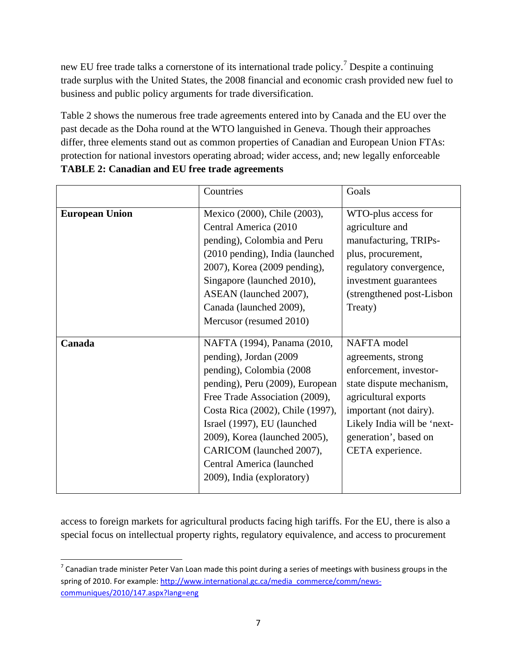new EU free trade talks a cornerstone of its international trade policy.<sup>[7](#page-6-0)</sup> Despite a continuing trade surplus with the United States, the 2008 financial and economic crash provided new fuel to business and public policy arguments for trade diversification.

Table 2 shows the numerous free trade agreements entered into by Canada and the EU over the past decade as the Doha round at the WTO languished in Geneva. Though their approaches differ, three elements stand out as common properties of Canadian and European Union FTAs: protection for national investors operating abroad; wider access, and; new legally enforceable **TABLE 2: Canadian and EU free trade agreements**

|                       | Countries                                                                                                                                                                                                                                                                                                                                          | Goals                                                                                                                                                                                                                 |
|-----------------------|----------------------------------------------------------------------------------------------------------------------------------------------------------------------------------------------------------------------------------------------------------------------------------------------------------------------------------------------------|-----------------------------------------------------------------------------------------------------------------------------------------------------------------------------------------------------------------------|
| <b>European Union</b> | Mexico (2000), Chile (2003),<br>Central America (2010<br>pending), Colombia and Peru<br>(2010 pending), India (launched<br>2007), Korea (2009 pending),<br>Singapore (launched 2010),<br>ASEAN (launched 2007),<br>Canada (launched 2009),<br>Mercusor (resumed 2010)                                                                              | WTO-plus access for<br>agriculture and<br>manufacturing, TRIPs-<br>plus, procurement,<br>regulatory convergence,<br>investment guarantees<br>(strengthened post-Lisbon)<br>Treaty)                                    |
| Canada                | NAFTA (1994), Panama (2010,<br>pending), Jordan (2009<br>pending), Colombia (2008)<br>pending), Peru (2009), European<br>Free Trade Association (2009),<br>Costa Rica (2002), Chile (1997),<br>Israel (1997), EU (launched<br>2009), Korea (launched 2005),<br>CARICOM (launched 2007),<br>Central America (launched<br>2009), India (exploratory) | NAFTA model<br>agreements, strong<br>enforcement, investor-<br>state dispute mechanism,<br>agricultural exports<br>important (not dairy).<br>Likely India will be 'next-<br>generation', based on<br>CETA experience. |

access to foreign markets for agricultural products facing high tariffs. For the EU, there is also a special focus on intellectual property rights, regulatory equivalence, and access to procurement

<span id="page-6-0"></span> $^7$  Canadian trade minister Peter Van Loan made this point during a series of meetings with business groups in the spring of 2010. For example: [http://www.international.gc.ca/media\\_commerce/comm/news](http://www.international.gc.ca/media_commerce/comm/news-communiques/2010/147.aspx?lang=eng)[communiques/2010/147.aspx?lang=eng](http://www.international.gc.ca/media_commerce/comm/news-communiques/2010/147.aspx?lang=eng)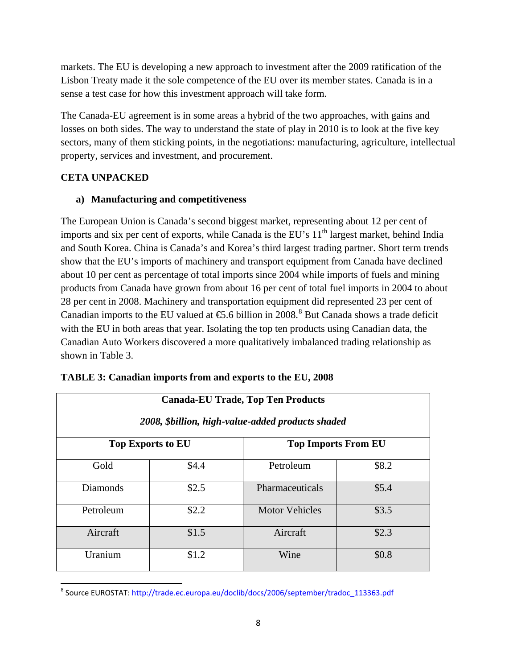markets. The EU is developing a new approach to investment after the 2009 ratification of the Lisbon Treaty made it the sole competence of the EU over its member states. Canada is in a sense a test case for how this investment approach will take form.

The Canada-EU agreement is in some areas a hybrid of the two approaches, with gains and losses on both sides. The way to understand the state of play in 2010 is to look at the five key sectors, many of them sticking points, in the negotiations: manufacturing, agriculture, intellectual property, services and investment, and procurement.

## **CETA UNPACKED**

## **a) Manufacturing and competitiveness**

The European Union is Canada's second biggest market, representing about 12 per cent of imports and six per cent of exports, while Canada is the EU's  $11<sup>th</sup>$  largest market, behind India and South Korea. China is Canada's and Korea's third largest trading partner. Short term trends show that the EU's imports of machinery and transport equipment from Canada have declined about 10 per cent as percentage of total imports since 2004 while imports of fuels and mining products from Canada have grown from about 16 per cent of total fuel imports in 2004 to about 28 per cent in 2008. Machinery and transportation equipment did represented 23 per cent of Canadian imports to the EU valued at  $\text{\textsterling}5.6$  billion in 200[8](#page-7-0).<sup>8</sup> But Canada shows a trade deficit with the EU in both areas that year. Isolating the top ten products using Canadian data, the Canadian Auto Workers discovered a more qualitatively imbalanced trading relationship as shown in Table 3.

| <b>Canada-EU Trade, Top Ten Products</b><br>2008, \$billion, high-value-added products shaded |       |                            |       |  |
|-----------------------------------------------------------------------------------------------|-------|----------------------------|-------|--|
| <b>Top Exports to EU</b>                                                                      |       | <b>Top Imports From EU</b> |       |  |
| Gold                                                                                          | \$4.4 | Petroleum                  | \$8.2 |  |
| <b>Diamonds</b>                                                                               | \$2.5 | Pharmaceuticals            | \$5.4 |  |
| Petroleum                                                                                     | \$2.2 | <b>Motor Vehicles</b>      | \$3.5 |  |
| Aircraft                                                                                      | \$1.5 | Aircraft                   | \$2.3 |  |
| Uranium                                                                                       | \$1.2 | Wine                       | \$0.8 |  |

|  |  | TABLE 3: Canadian imports from and exports to the EU, 2008 |  |
|--|--|------------------------------------------------------------|--|
|  |  |                                                            |  |

<span id="page-7-0"></span> <sup>8</sup> Source EUROSTAT: [http://trade.ec.europa.eu/doclib/docs/2006/september/tradoc\\_113363.pdf](http://trade.ec.europa.eu/doclib/docs/2006/september/tradoc_113363.pdf)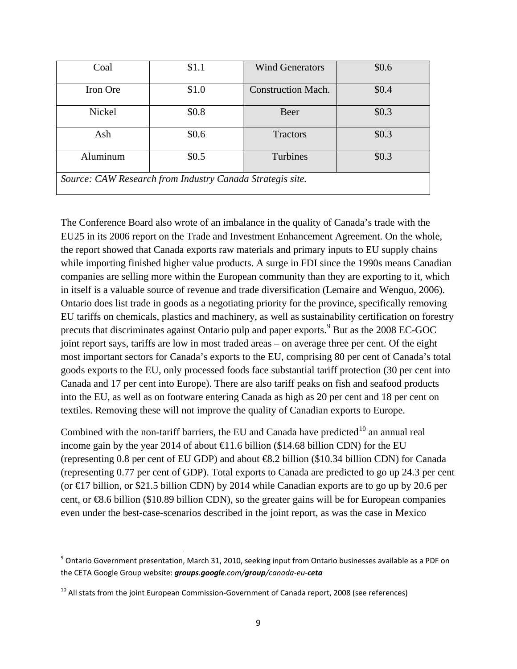| Coal                                                      | \$1.1   | <b>Wind Generators</b>    | \$0.6   |  |
|-----------------------------------------------------------|---------|---------------------------|---------|--|
| Iron Ore                                                  | \$1.0   | <b>Construction Mach.</b> | \$0.4   |  |
| Nickel                                                    | \$0.8\$ | Beer                      | \$0.3\$ |  |
| Ash                                                       | \$0.6\$ | <b>Tractors</b>           | \$0.3\$ |  |
| Aluminum                                                  | \$0.5   | Turbines                  | \$0.3\$ |  |
| Source: CAW Research from Industry Canada Strategis site. |         |                           |         |  |

The Conference Board also wrote of an imbalance in the quality of Canada's trade with the EU25 in its 2006 report on the Trade and Investment Enhancement Agreement. On the whole, the report showed that Canada exports raw materials and primary inputs to EU supply chains while importing finished higher value products. A surge in FDI since the 1990s means Canadian companies are selling more within the European community than they are exporting to it, which in itself is a valuable source of revenue and trade diversification (Lemaire and Wenguo, 2006). Ontario does list trade in goods as a negotiating priority for the province, specifically removing EU tariffs on chemicals, plastics and machinery, as well as sustainability certification on forestry precuts that discriminates against Ontario pulp and paper exports.<sup>[9](#page-8-0)</sup> But as the 2008 EC-GOC joint report says, tariffs are low in most traded areas – on average three per cent. Of the eight most important sectors for Canada's exports to the EU, comprising 80 per cent of Canada's total goods exports to the EU, only processed foods face substantial tariff protection (30 per cent into Canada and 17 per cent into Europe). There are also tariff peaks on fish and seafood products into the EU, as well as on footware entering Canada as high as 20 per cent and 18 per cent on textiles. Removing these will not improve the quality of Canadian exports to Europe.

Combined with the non-tariff barriers, the EU and Canada have predicted  $10$  an annual real income gain by the year 2014 of about  $\bigoplus$  1.6 billion (\$14.68 billion CDN) for the EU (representing 0.8 per cent of EU GDP) and about €8.2 billion (\$10.34 billion CDN) for Canada (representing 0.77 per cent of GDP). Total exports to Canada are predicted to go up 24.3 per cent (or  $\text{E}$ 7 billion, or \$21.5 billion CDN) by 2014 while Canadian exports are to go up by 20.6 per cent, or €8.6 billion (\$10.89 billion CDN), so the greater gains will be for European companies even under the best-case-scenarios described in the joint report, as was the case in Mexico

<span id="page-8-0"></span> $9$  Ontario Government presentation, March 31, 2010, seeking input from Ontario businesses available as a PDF on the CETA Google Group website: *groups.google.com/group/canada-eu-ceta*

<span id="page-8-1"></span><sup>&</sup>lt;sup>10</sup> All stats from the joint European Commission-Government of Canada report, 2008 (see references)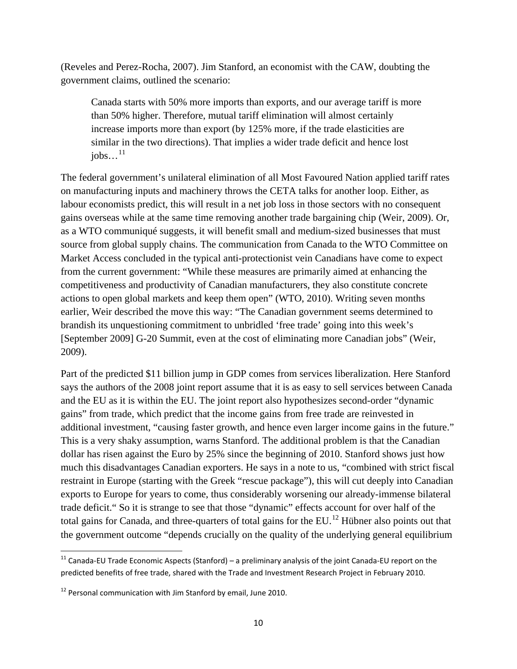(Reveles and Perez-Rocha, 2007). Jim Stanford, an economist with the CAW, doubting the government claims, outlined the scenario:

Canada starts with 50% more imports than exports, and our average tariff is more than 50% higher. Therefore, mutual tariff elimination will almost certainly increase imports more than export (by 125% more, if the trade elasticities are similar in the two directions). That implies a wider trade deficit and hence lost  $i$ obs... $^{11}$  $^{11}$  $^{11}$ 

The federal government's unilateral elimination of all Most Favoured Nation applied tariff rates on manufacturing inputs and machinery throws the CETA talks for another loop. Either, as labour economists predict, this will result in a net job loss in those sectors with no consequent gains overseas while at the same time removing another trade bargaining chip (Weir, 2009). Or, as a WTO communiqué suggests, it will benefit small and medium-sized businesses that must source from global supply chains. The communication from Canada to the WTO Committee on Market Access concluded in the typical anti-protectionist vein Canadians have come to expect from the current government: "While these measures are primarily aimed at enhancing the competitiveness and productivity of Canadian manufacturers, they also constitute concrete actions to open global markets and keep them open" (WTO, 2010). Writing seven months earlier, Weir described the move this way: "The Canadian government seems determined to brandish its unquestioning commitment to unbridled 'free trade' going into this week's [September 2009] G-20 Summit, even at the cost of eliminating more Canadian jobs" (Weir, 2009).

Part of the predicted \$11 billion jump in GDP comes from services liberalization. Here Stanford says the authors of the 2008 joint report assume that it is as easy to sell services between Canada and the EU as it is within the EU. The joint report also hypothesizes second-order "dynamic gains" from trade, which predict that the income gains from free trade are reinvested in additional investment, "causing faster growth, and hence even larger income gains in the future." This is a very shaky assumption, warns Stanford. The additional problem is that the Canadian dollar has risen against the Euro by 25% since the beginning of 2010. Stanford shows just how much this disadvantages Canadian exporters. He says in a note to us, "combined with strict fiscal restraint in Europe (starting with the Greek "rescue package"), this will cut deeply into Canadian exports to Europe for years to come, thus considerably worsening our already-immense bilateral trade deficit." So it is strange to see that those "dynamic" effects account for over half of the total gains for Canada, and three-quarters of total gains for the EU.<sup>[12](#page-9-1)</sup> Hübner also points out that the government outcome "depends crucially on the quality of the underlying general equilibrium

<span id="page-9-0"></span> $11$  Canada-EU Trade Economic Aspects (Stanford) – a preliminary analysis of the joint Canada-EU report on the predicted benefits of free trade, shared with the Trade and Investment Research Project in February 2010.

<span id="page-9-1"></span><sup>&</sup>lt;sup>12</sup> Personal communication with Jim Stanford by email, June 2010.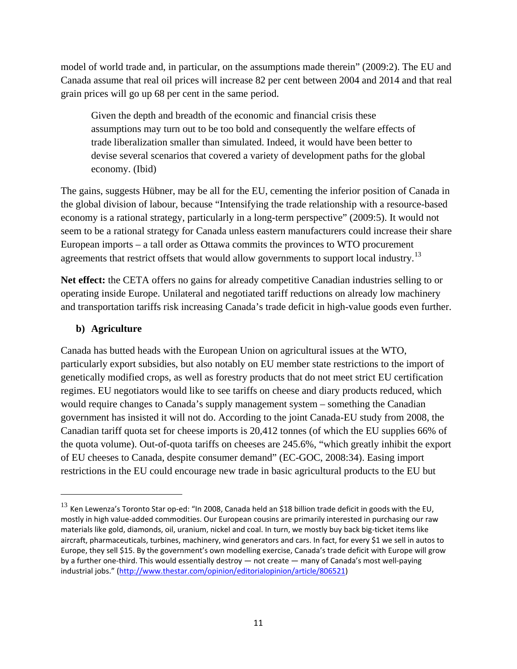model of world trade and, in particular, on the assumptions made therein" (2009:2). The EU and Canada assume that real oil prices will increase 82 per cent between 2004 and 2014 and that real grain prices will go up 68 per cent in the same period.

Given the depth and breadth of the economic and financial crisis these assumptions may turn out to be too bold and consequently the welfare effects of trade liberalization smaller than simulated. Indeed, it would have been better to devise several scenarios that covered a variety of development paths for the global economy. (Ibid)

The gains, suggests Hübner, may be all for the EU, cementing the inferior position of Canada in the global division of labour, because "Intensifying the trade relationship with a resource-based economy is a rational strategy, particularly in a long-term perspective" (2009:5). It would not seem to be a rational strategy for Canada unless eastern manufacturers could increase their share European imports – a tall order as Ottawa commits the provinces to WTO procurement agreements that restrict offsets that would allow governments to support local industry.<sup>[13](#page-10-0)</sup>

**Net effect:** the CETA offers no gains for already competitive Canadian industries selling to or operating inside Europe. Unilateral and negotiated tariff reductions on already low machinery and transportation tariffs risk increasing Canada's trade deficit in high-value goods even further.

## **b) Agriculture**

 $\overline{\phantom{0}}$ 

Canada has butted heads with the European Union on agricultural issues at the WTO, particularly export subsidies, but also notably on EU member state restrictions to the import of genetically modified crops, as well as forestry products that do not meet strict EU certification regimes. EU negotiators would like to see tariffs on cheese and diary products reduced, which would require changes to Canada's supply management system – something the Canadian government has insisted it will not do. According to the joint Canada-EU study from 2008, the Canadian tariff quota set for cheese imports is 20,412 tonnes (of which the EU supplies 66% of the quota volume). Out-of-quota tariffs on cheeses are 245.6%, "which greatly inhibit the export of EU cheeses to Canada, despite consumer demand" (EC-GOC, 2008:34). Easing import restrictions in the EU could encourage new trade in basic agricultural products to the EU but

<span id="page-10-0"></span> $^{13}$  Ken Lewenza's Toronto Star op-ed: "In 2008, Canada held an \$18 billion trade deficit in goods with the EU, mostly in high value-added commodities. Our European cousins are primarily interested in purchasing our raw materials like gold, diamonds, oil, uranium, nickel and coal. In turn, we mostly buy back big-ticket items like aircraft, pharmaceuticals, turbines, machinery, wind generators and cars. In fact, for every \$1 we sell in autos to Europe, they sell \$15. By the government's own modelling exercise, Canada's trade deficit with Europe will grow by a further one-third. This would essentially destroy — not create — many of Canada's most well-paying industrial jobs." [\(http://www.thestar.com/opinion/editorialopinion/article/806521\)](http://www.thestar.com/opinion/editorialopinion/article/806521)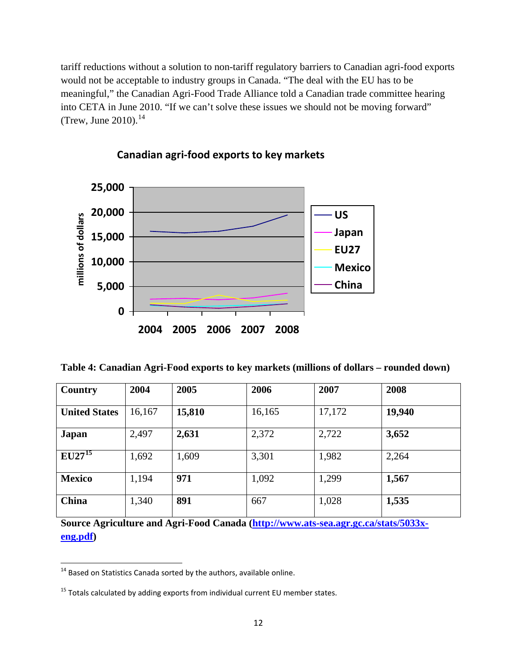tariff reductions without a solution to non-tariff regulatory barriers to Canadian agri-food exports would not be acceptable to industry groups in Canada. "The deal with the EU has to be meaningful," the Canadian Agri-Food Trade Alliance told a Canadian trade committee hearing into CETA in June 2010. "If we can't solve these issues we should not be moving forward" (Trew, June 2010).<sup>[14](#page-11-0)</sup>



# **Canadian agri-food exports to key markets**

**Table 4: Canadian Agri-Food exports to key markets (millions of dollars – rounded down)**

| Country              | 2004   | 2005   | 2006   | 2007   | 2008   |  |
|----------------------|--------|--------|--------|--------|--------|--|
| <b>United States</b> | 16,167 | 15,810 | 16,165 | 17,172 | 19,940 |  |
| <b>Japan</b>         | 2,497  | 2,631  | 2,372  | 2,722  | 3,652  |  |
| $EU27^{15}$          | 1,692  | 1,609  | 3,301  | 1,982  | 2,264  |  |
| <b>Mexico</b>        | 1,194  | 971    | 1,092  | 1,299  | 1,567  |  |
| <b>China</b>         | 1,340  | 891    | 667    | 1,028  | 1,535  |  |

**Source Agriculture and Agri-Food Canada [\(http://www.ats-sea.agr.gc.ca/stats/5033x](http://www.ats-sea.agr.gc.ca/stats/5033x-eng.pdf)[eng.pdf\)](http://www.ats-sea.agr.gc.ca/stats/5033x-eng.pdf)** 

<span id="page-11-0"></span> $14$  Based on Statistics Canada sorted by the authors, available online.

<span id="page-11-1"></span> $15$  Totals calculated by adding exports from individual current EU member states.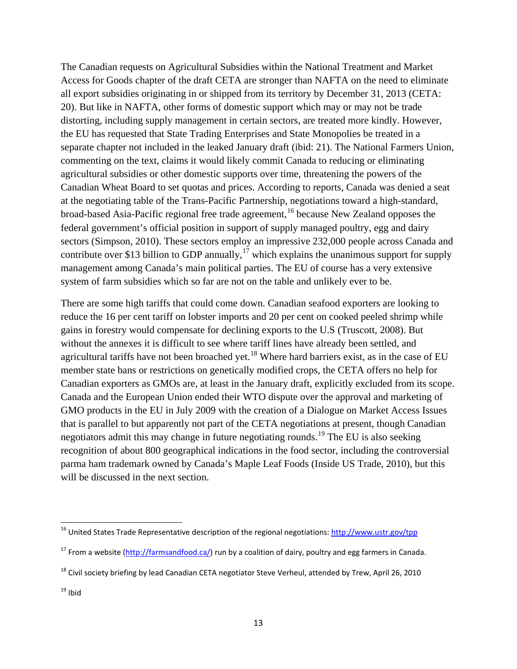The Canadian requests on Agricultural Subsidies within the National Treatment and Market Access for Goods chapter of the draft CETA are stronger than NAFTA on the need to eliminate all export subsidies originating in or shipped from its territory by December 31, 2013 (CETA: 20). But like in NAFTA, other forms of domestic support which may or may not be trade distorting, including supply management in certain sectors, are treated more kindly. However, the EU has requested that State Trading Enterprises and State Monopolies be treated in a separate chapter not included in the leaked January draft (ibid: 21). The National Farmers Union, commenting on the text, claims it would likely commit Canada to reducing or eliminating agricultural subsidies or other domestic supports over time, threatening the powers of the Canadian Wheat Board to set quotas and prices. According to reports, Canada was denied a seat at the negotiating table of the Trans-Pacific Partnership, negotiations toward a high-standard, broad-based Asia-Pacific regional free trade agreement,<sup>[16](#page-12-0)</sup> because New Zealand opposes the federal government's official position in support of supply managed poultry, egg and dairy sectors (Simpson, 2010). These sectors employ an impressive 232,000 people across Canada and contribute over \$13 billion to GDP annually,<sup>[17](#page-12-1)</sup> which explains the unanimous support for supply management among Canada's main political parties. The EU of course has a very extensive system of farm subsidies which so far are not on the table and unlikely ever to be.

There are some high tariffs that could come down. Canadian seafood exporters are looking to reduce the 16 per cent tariff on lobster imports and 20 per cent on cooked peeled shrimp while gains in forestry would compensate for declining exports to the U.S (Truscott, 2008). But without the annexes it is difficult to see where tariff lines have already been settled, and agricultural tariffs have not been broached yet.<sup>[18](#page-12-2)</sup> Where hard barriers exist, as in the case of EU member state bans or restrictions on genetically modified crops, the CETA offers no help for Canadian exporters as GMOs are, at least in the January draft, explicitly excluded from its scope. Canada and the European Union ended their WTO dispute over the approval and marketing of GMO products in the EU in July 2009 with the creation of a Dialogue on Market Access Issues that is parallel to but apparently not part of the CETA negotiations at present, though Canadian negotiators admit this may change in future negotiating rounds.<sup>[19](#page-12-3)</sup> The EU is also seeking recognition of about 800 geographical indications in the food sector, including the controversial parma ham trademark owned by Canada's Maple Leaf Foods (Inside US Trade, 2010), but this will be discussed in the next section.

<span id="page-12-0"></span> <sup>16</sup> United States Trade Representative description of the regional negotiations: <http://www.ustr.gov/tpp>

<span id="page-12-1"></span><sup>&</sup>lt;sup>17</sup> From a website [\(http://farmsandfood.ca/\)](http://farmsandfood.ca/) run by a coalition of dairy, poultry and egg farmers in Canada.

<span id="page-12-2"></span><sup>&</sup>lt;sup>18</sup> Civil society briefing by lead Canadian CETA negotiator Steve Verheul, attended by Trew, April 26, 2010

<span id="page-12-3"></span> $19$  Ibid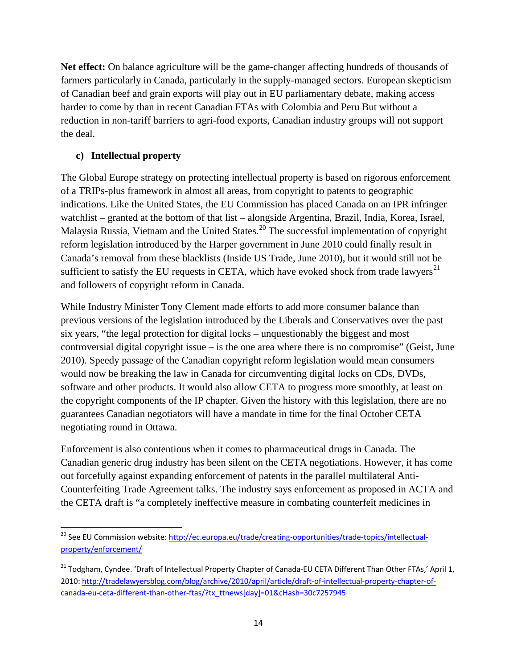**Net effect:** On balance agriculture will be the game-changer affecting hundreds of thousands of farmers particularly in Canada, particularly in the supply-managed sectors. European skepticism of Canadian beef and grain exports will play out in EU parliamentary debate, making access harder to come by than in recent Canadian FTAs with Colombia and Peru But without a reduction in non-tariff barriers to agri-food exports, Canadian industry groups will not support the deal.

## **c) Intellectual property**

The Global Europe strategy on protecting intellectual property is based on rigorous enforcement of a TRIPs-plus framework in almost all areas, from copyright to patents to geographic indications. Like the United States, the EU Commission has placed Canada on an IPR infringer watchlist – granted at the bottom of that list – alongside Argentina, Brazil, India, Korea, Israel, Malaysia Russia, Vietnam and the United States.<sup>[20](#page-13-0)</sup> The successful implementation of copyright reform legislation introduced by the Harper government in June 2010 could finally result in Canada's removal from these blacklists (Inside US Trade, June 2010), but it would still not be sufficient to satisfy the EU requests in CETA, which have evoked shock from trade lawyers $^{21}$  $^{21}$  $^{21}$ and followers of copyright reform in Canada.

While Industry Minister Tony Clement made efforts to add more consumer balance than previous versions of the legislation introduced by the Liberals and Conservatives over the past six years, "the legal protection for digital locks – unquestionably the biggest and most controversial digital copyright issue – is the one area where there is no compromise" (Geist, June 2010). Speedy passage of the Canadian copyright reform legislation would mean consumers would now be breaking the law in Canada for circumventing digital locks on CDs, DVDs, software and other products. It would also allow CETA to progress more smoothly, at least on the copyright components of the IP chapter. Given the history with this legislation, there are no guarantees Canadian negotiators will have a mandate in time for the final October CETA negotiating round in Ottawa.

Enforcement is also contentious when it comes to pharmaceutical drugs in Canada. The Canadian generic drug industry has been silent on the CETA negotiations. However, it has come out forcefully against expanding enforcement of patents in the parallel multilateral Anti-Counterfeiting Trade Agreement talks. The industry says enforcement as proposed in ACTA and the CETA draft is "a completely ineffective measure in combating counterfeit medicines in

<span id="page-13-0"></span><sup>&</sup>lt;sup>20</sup> See EU Commission website: [http://ec.europa.eu/trade/creating-opportunities/trade-topics/intellectual](http://ec.europa.eu/trade/creating-opportunities/trade-topics/intellectual-property/enforcement/)[property/enforcement/](http://ec.europa.eu/trade/creating-opportunities/trade-topics/intellectual-property/enforcement/)

<span id="page-13-1"></span><sup>&</sup>lt;sup>21</sup> Todgham, Cyndee. 'Draft of Intellectual Property Chapter of Canada-EU CETA Different Than Other FTAs,' April 1, 2010: [http://tradelawyersblog.com/blog/archive/2010/april/article/draft-of-intellectual-property-chapter-of](http://tradelawyersblog.com/blog/archive/2010/april/article/draft-of-intellectual-property-chapter-of-canada-eu-ceta-different-than-other-ftas/?tx_ttnews%5bday%5d=01&cHash=30c7257945)[canada-eu-ceta-different-than-other-ftas/?tx\\_ttnews\[day\]=01&cHash=30c7257945](http://tradelawyersblog.com/blog/archive/2010/april/article/draft-of-intellectual-property-chapter-of-canada-eu-ceta-different-than-other-ftas/?tx_ttnews%5bday%5d=01&cHash=30c7257945)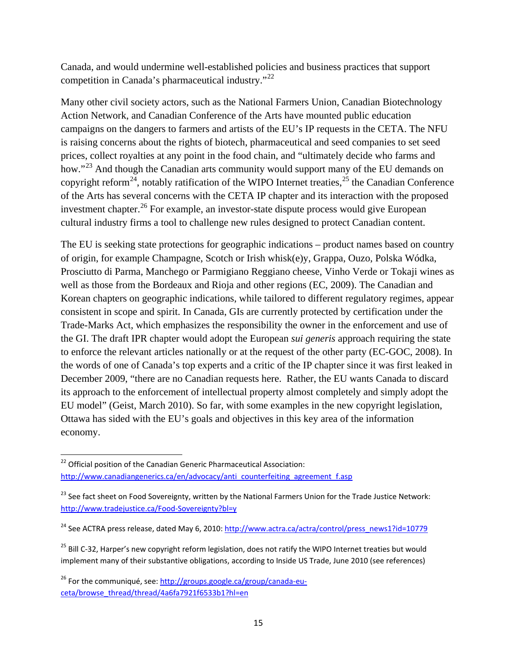Canada, and would undermine well-established policies and business practices that support competition in Canada's pharmaceutical industry."<sup>[22](#page-14-0)</sup>

Many other civil society actors, such as the National Farmers Union, Canadian Biotechnology Action Network, and Canadian Conference of the Arts have mounted public education campaigns on the dangers to farmers and artists of the EU's IP requests in the CETA. The NFU is raising concerns about the rights of biotech, pharmaceutical and seed companies to set seed prices, collect royalties at any point in the food chain, and "ultimately decide who farms and how."<sup>[23](#page-14-1)</sup> And though the Canadian arts community would support many of the EU demands on copyright reform<sup>[24](#page-14-2)</sup>, notably ratification of the WIPO Internet treaties,  $2<sup>5</sup>$  the Canadian Conference of the Arts has several concerns with the CETA IP chapter and its interaction with the proposed investment chapter.<sup>[26](#page-14-4)</sup> For example, an investor-state dispute process would give European cultural industry firms a tool to challenge new rules designed to protect Canadian content.

The EU is seeking state protections for geographic indications – product names based on country of origin, for example Champagne, Scotch or Irish whisk(e)y, Grappa, Ouzo, Polska Wódka, Prosciutto di Parma, Manchego or Parmigiano Reggiano cheese, Vinho Verde or Tokaji wines as well as those from the Bordeaux and Rioja and other regions (EC, 2009). The Canadian and Korean chapters on geographic indications, while tailored to different regulatory regimes, appear consistent in scope and spirit. In Canada, GIs are currently protected by certification under the Trade-Marks Act, which emphasizes the responsibility the owner in the enforcement and use of the GI. The draft IPR chapter would adopt the European *sui generis* approach requiring the state to enforce the relevant articles nationally or at the request of the other party (EC-GOC, 2008). In the words of one of Canada's top experts and a critic of the IP chapter since it was first leaked in December 2009, "there are no Canadian requests here. Rather, the EU wants Canada to discard its approach to the enforcement of intellectual property almost completely and simply adopt the EU model" (Geist, March 2010). So far, with some examples in the new copyright legislation, Ottawa has sided with the EU's goals and objectives in this key area of the information economy.

<span id="page-14-0"></span><sup>&</sup>lt;sup>22</sup> Official position of the Canadian Generic Pharmaceutical Association: [http://www.canadiangenerics.ca/en/advocacy/anti\\_counterfeiting\\_agreement\\_f.asp](http://www.canadiangenerics.ca/en/advocacy/anti_counterfeiting_agreement_f.asp)

<span id="page-14-1"></span><sup>&</sup>lt;sup>23</sup> See fact sheet on Food Sovereignty, written by the National Farmers Union for the Trade Justice Network: <http://www.tradejustice.ca/Food-Sovereignty?bl=y>

<span id="page-14-2"></span><sup>&</sup>lt;sup>24</sup> See ACTRA press release, dated May 6, 2010: [http://www.actra.ca/actra/control/press\\_news1?id=10779](http://www.actra.ca/actra/control/press_news1?id=10779)

<span id="page-14-3"></span><sup>&</sup>lt;sup>25</sup> Bill C-32, Harper's new copyright reform legislation, does not ratify the WIPO Internet treaties but would implement many of their substantive obligations, according to Inside US Trade, June 2010 (see references)

<span id="page-14-4"></span><sup>&</sup>lt;sup>26</sup> For the communiqué, see[: http://groups.google.ca/group/canada-eu](http://groups.google.ca/group/canada-eu-ceta/browse_thread/thread/4a6fa7921f6533b1?hl=en)[ceta/browse\\_thread/thread/4a6fa7921f6533b1?hl=en](http://groups.google.ca/group/canada-eu-ceta/browse_thread/thread/4a6fa7921f6533b1?hl=en)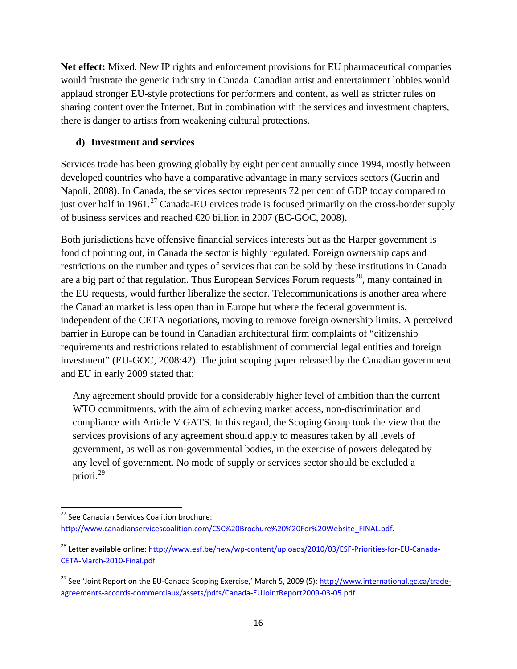**Net effect:** Mixed. New IP rights and enforcement provisions for EU pharmaceutical companies would frustrate the generic industry in Canada. Canadian artist and entertainment lobbies would applaud stronger EU-style protections for performers and content, as well as stricter rules on sharing content over the Internet. But in combination with the services and investment chapters, there is danger to artists from weakening cultural protections.

### **d) Investment and services**

Services trade has been growing globally by eight per cent annually since 1994, mostly between developed countries who have a comparative advantage in many services sectors (Guerin and Napoli, 2008). In Canada, the services sector represents 72 per cent of GDP today compared to just over half in 1961.<sup>[27](#page-15-0)</sup> Canada-EU ervices trade is focused primarily on the cross-border supply of business services and reached €20 billion in 2007 (EC-GOC, 2008).

Both jurisdictions have offensive financial services interests but as the Harper government is fond of pointing out, in Canada the sector is highly regulated. Foreign ownership caps and restrictions on the number and types of services that can be sold by these institutions in Canada are a big part of that regulation. Thus European Services Forum requests<sup>[28](#page-15-1)</sup>, many contained in the EU requests, would further liberalize the sector. Telecommunications is another area where the Canadian market is less open than in Europe but where the federal government is, independent of the CETA negotiations, moving to remove foreign ownership limits. A perceived barrier in Europe can be found in Canadian architectural firm complaints of "citizenship requirements and restrictions related to establishment of commercial legal entities and foreign investment" (EU-GOC, 2008:42). The joint scoping paper released by the Canadian government and EU in early 2009 stated that:

Any agreement should provide for a considerably higher level of ambition than the current WTO commitments, with the aim of achieving market access, non-discrimination and compliance with Article V GATS. In this regard, the Scoping Group took the view that the services provisions of any agreement should apply to measures taken by all levels of government, as well as non-governmental bodies, in the exercise of powers delegated by any level of government. No mode of supply or services sector should be excluded a priori. [29](#page-15-2)

<span id="page-15-0"></span><sup>&</sup>lt;sup>27</sup> See Canadian Services Coalition brochure:

[http://www.canadianservicescoalition.com/CSC%20Brochure%20%20For%20Website\\_FINAL.pdf.](http://www.canadianservicescoalition.com/CSC%20Brochure%20%20For%20Website_FINAL.pdf)

<span id="page-15-1"></span><sup>&</sup>lt;sup>28</sup> Letter available online: [http://www.esf.be/new/wp-content/uploads/2010/03/ESF-Priorities-for-EU-Canada-](http://www.esf.be/new/wp-content/uploads/2010/03/ESF-Priorities-for-EU-Canada-CETA-March-2010-Final.pdf)[CETA-March-2010-Final.pdf](http://www.esf.be/new/wp-content/uploads/2010/03/ESF-Priorities-for-EU-Canada-CETA-March-2010-Final.pdf)

<span id="page-15-2"></span><sup>&</sup>lt;sup>29</sup> See 'Joint Report on the EU-Canada Scoping Exercise,' March 5, 2009 (5)[: http://www.international.gc.ca/trade](http://www.international.gc.ca/trade-agreements-accords-commerciaux/assets/pdfs/Canada-EUJointReport2009-03-05.pdf)[agreements-accords-commerciaux/assets/pdfs/Canada-EUJointReport2009-03-05.pdf](http://www.international.gc.ca/trade-agreements-accords-commerciaux/assets/pdfs/Canada-EUJointReport2009-03-05.pdf)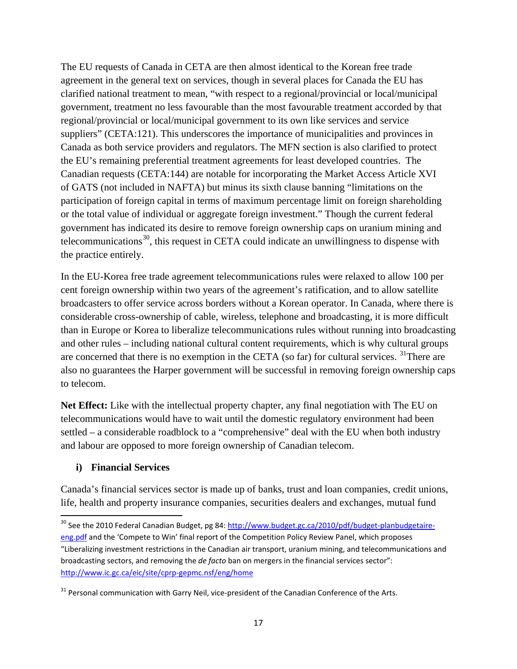The EU requests of Canada in CETA are then almost identical to the Korean free trade agreement in the general text on services, though in several places for Canada the EU has clarified national treatment to mean, "with respect to a regional/provincial or local/municipal government, treatment no less favourable than the most favourable treatment accorded by that regional/provincial or local/municipal government to its own like services and service suppliers" (CETA:121). This underscores the importance of municipalities and provinces in Canada as both service providers and regulators. The MFN section is also clarified to protect the EU's remaining preferential treatment agreements for least developed countries. The Canadian requests (CETA:144) are notable for incorporating the Market Access Article XVI of GATS (not included in NAFTA) but minus its sixth clause banning "limitations on the participation of foreign capital in terms of maximum percentage limit on foreign shareholding or the total value of individual or aggregate foreign investment." Though the current federal government has indicated its desire to remove foreign ownership caps on uranium mining and telecommunications<sup>[30](#page-16-0)</sup>, this request in CETA could indicate an unwillingness to dispense with the practice entirely.

In the EU-Korea free trade agreement telecommunications rules were relaxed to allow 100 per cent foreign ownership within two years of the agreement's ratification, and to allow satellite broadcasters to offer service across borders without a Korean operator. In Canada, where there is considerable cross-ownership of cable, wireless, telephone and broadcasting, it is more difficult than in Europe or Korea to liberalize telecommunications rules without running into broadcasting and other rules – including national cultural content requirements, which is why cultural groups are concerned that there is no exemption in the CETA (so far) for cultural services. <sup>[31](#page-16-1)</sup>There are also no guarantees the Harper government will be successful in removing foreign ownership caps to telecom.

**Net Effect:** Like with the intellectual property chapter, any final negotiation with The EU on telecommunications would have to wait until the domestic regulatory environment had been settled – a considerable roadblock to a "comprehensive" deal with the EU when both industry and labour are opposed to more foreign ownership of Canadian telecom.

#### **i) Financial Services**

Canada's financial services sector is made up of banks, trust and loan companies, credit unions, life, health and property insurance companies, securities dealers and exchanges, mutual fund

<span id="page-16-0"></span><sup>&</sup>lt;sup>30</sup> See the 2010 Federal Canadian Budget, pg 84[: http://www.budget.gc.ca/2010/pdf/budget-planbudgetaire](http://www.budget.gc.ca/2010/pdf/budget-planbudgetaire-eng.pdf)[eng.pdf](http://www.budget.gc.ca/2010/pdf/budget-planbudgetaire-eng.pdf) and the 'Compete to Win' final report of the Competition Policy Review Panel, which proposes "Liberalizing investment restrictions in the Canadian air transport, uranium mining, and telecommunications and broadcasting sectors, and removing the *de facto* ban on mergers in the financial services sector": <http://www.ic.gc.ca/eic/site/cprp-gepmc.nsf/eng/home>

<span id="page-16-1"></span><sup>&</sup>lt;sup>31</sup> Personal communication with Garry Neil, vice-president of the Canadian Conference of the Arts.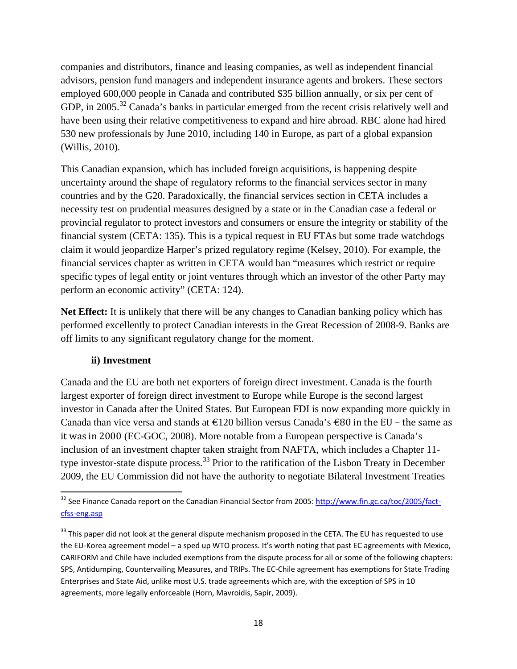companies and distributors, finance and leasing companies, as well as independent financial advisors, pension fund managers and independent insurance agents and brokers. These sectors employed 600,000 people in Canada and contributed \$35 billion annually, or six per cent of GDP, in 2005.<sup>[32](#page-17-0)</sup> Canada's banks in particular emerged from the recent crisis relatively well and have been using their relative competitiveness to expand and hire abroad. RBC alone had hired 530 new professionals by June 2010, including 140 in Europe, as part of a global expansion (Willis, 2010).

This Canadian expansion, which has included foreign acquisitions, is happening despite uncertainty around the shape of regulatory reforms to the financial services sector in many countries and by the G20. Paradoxically, the financial services section in CETA includes a necessity test on prudential measures designed by a state or in the Canadian case a federal or provincial regulator to protect investors and consumers or ensure the integrity or stability of the financial system (CETA: 135). This is a typical request in EU FTAs but some trade watchdogs claim it would jeopardize Harper's prized regulatory regime (Kelsey, 2010). For example, the financial services chapter as written in CETA would ban "measures which restrict or require specific types of legal entity or joint ventures through which an investor of the other Party may perform an economic activity" (CETA: 124).

**Net Effect:** It is unlikely that there will be any changes to Canadian banking policy which has performed excellently to protect Canadian interests in the Great Recession of 2008-9. Banks are off limits to any significant regulatory change for the moment.

#### **ii) Investment**

Canada and the EU are both net exporters of foreign direct investment. Canada is the fourth largest exporter of foreign direct investment to Europe while Europe is the second largest investor in Canada after the United States. But European FDI is now expanding more quickly in Canada than vice versa and stands at  $\epsilon$ 120 billion versus Canada's  $\epsilon$ 80 in the EU – the same as it was in 2000 (EC-GOC, 2008). More notable from a European perspective is Canada's inclusion of an investment chapter taken straight from NAFTA, which includes a Chapter 11- type investor-state dispute process.<sup>[33](#page-17-1)</sup> Prior to the ratification of the Lisbon Treaty in December 2009, the EU Commission did not have the authority to negotiate Bilateral Investment Treaties

<span id="page-17-0"></span> <sup>32</sup> See Finance Canada report on the Canadian Financial Sector from 2005: [http://www.fin.gc.ca/toc/2005/fact](http://www.fin.gc.ca/toc/2005/fact-cfss-eng.asp)[cfss-eng.asp](http://www.fin.gc.ca/toc/2005/fact-cfss-eng.asp)

<span id="page-17-1"></span><sup>&</sup>lt;sup>33</sup> This paper did not look at the general dispute mechanism proposed in the CETA. The EU has requested to use the EU-Korea agreement model – a sped up WTO process. It's worth noting that past EC agreements with Mexico, CARIFORM and Chile have included exemptions from the dispute process for all or some of the following chapters: SPS, Antidumping, Countervailing Measures, and TRIPs. The EC-Chile agreement has exemptions for State Trading Enterprises and State Aid, unlike most U.S. trade agreements which are, with the exception of SPS in 10 agreements, more legally enforceable (Horn, Mavroidis, Sapir, 2009).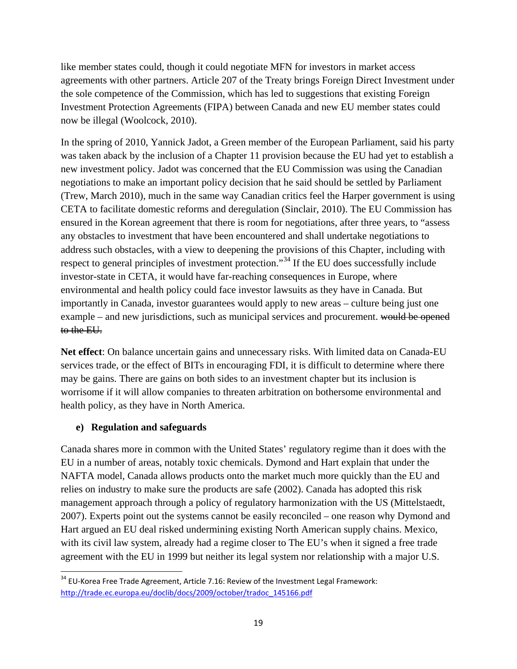like member states could, though it could negotiate MFN for investors in market access agreements with other partners. Article 207 of the Treaty brings Foreign Direct Investment under the sole competence of the Commission, which has led to suggestions that existing Foreign Investment Protection Agreements (FIPA) between Canada and new EU member states could now be illegal (Woolcock, 2010).

In the spring of 2010, Yannick Jadot, a Green member of the European Parliament, said his party was taken aback by the inclusion of a Chapter 11 provision because the EU had yet to establish a new investment policy. Jadot was concerned that the EU Commission was using the Canadian negotiations to make an important policy decision that he said should be settled by Parliament (Trew, March 2010), much in the same way Canadian critics feel the Harper government is using CETA to facilitate domestic reforms and deregulation (Sinclair, 2010). The EU Commission has ensured in the Korean agreement that there is room for negotiations, after three years, to "assess any obstacles to investment that have been encountered and shall undertake negotiations to address such obstacles, with a view to deepening the provisions of this Chapter, including with respect to general principles of investment protection."<sup>[34](#page-18-0)</sup> If the EU does successfully include investor-state in CETA, it would have far-reaching consequences in Europe, where environmental and health policy could face investor lawsuits as they have in Canada. But importantly in Canada, investor guarantees would apply to new areas – culture being just one example – and new jurisdictions, such as municipal services and procurement. would be opened to the EU.

**Net effect**: On balance uncertain gains and unnecessary risks. With limited data on Canada-EU services trade, or the effect of BITs in encouraging FDI, it is difficult to determine where there may be gains. There are gains on both sides to an investment chapter but its inclusion is worrisome if it will allow companies to threaten arbitration on bothersome environmental and health policy, as they have in North America.

#### **e) Regulation and safeguards**

Canada shares more in common with the United States' regulatory regime than it does with the EU in a number of areas, notably toxic chemicals. Dymond and Hart explain that under the NAFTA model, Canada allows products onto the market much more quickly than the EU and relies on industry to make sure the products are safe (2002). Canada has adopted this risk management approach through a policy of regulatory harmonization with the US (Mittelstaedt, 2007). Experts point out the systems cannot be easily reconciled – one reason why Dymond and Hart argued an EU deal risked undermining existing North American supply chains. Mexico, with its civil law system, already had a regime closer to The EU's when it signed a free trade agreement with the EU in 1999 but neither its legal system nor relationship with a major U.S.

<span id="page-18-0"></span><sup>&</sup>lt;sup>34</sup> EU-Korea Free Trade Agreement, Article 7.16: Review of the Investment Legal Framework: [http://trade.ec.europa.eu/doclib/docs/2009/october/tradoc\\_145166.pdf](http://trade.ec.europa.eu/doclib/docs/2009/october/tradoc_145166.pdf)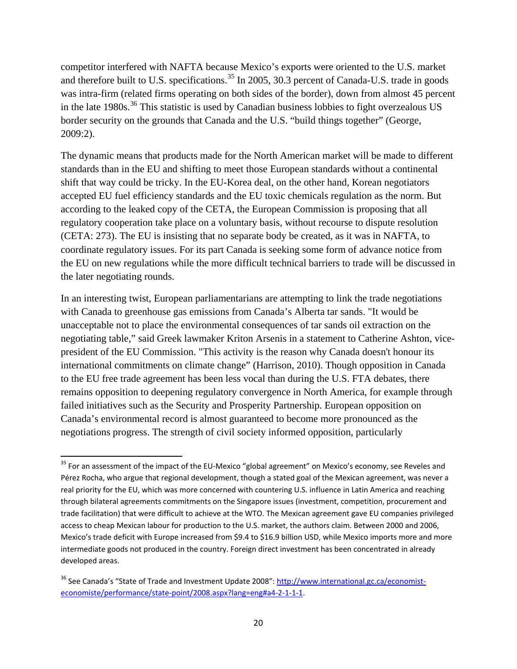competitor interfered with NAFTA because Mexico's exports were oriented to the U.S. market and therefore built to U.S. specifications.<sup>[35](#page-19-0)</sup> In 2005, 30.3 percent of Canada-U.S. trade in goods was intra-firm (related firms operating on both sides of the border), down from almost 45 percent in the late 1980s.<sup>[36](#page-19-1)</sup> This statistic is used by Canadian business lobbies to fight overzealous US border security on the grounds that Canada and the U.S. "build things together" (George, 2009:2).

The dynamic means that products made for the North American market will be made to different standards than in the EU and shifting to meet those European standards without a continental shift that way could be tricky. In the EU-Korea deal, on the other hand, Korean negotiators accepted EU fuel efficiency standards and the EU toxic chemicals regulation as the norm. But according to the leaked copy of the CETA, the European Commission is proposing that all regulatory cooperation take place on a voluntary basis, without recourse to dispute resolution (CETA: 273). The EU is insisting that no separate body be created, as it was in NAFTA, to coordinate regulatory issues. For its part Canada is seeking some form of advance notice from the EU on new regulations while the more difficult technical barriers to trade will be discussed in the later negotiating rounds.

In an interesting twist, European parliamentarians are attempting to link the trade negotiations with Canada to greenhouse gas emissions from Canada's Alberta tar sands. "It would be unacceptable not to place the environmental consequences of tar sands oil extraction on the negotiating table," said Greek lawmaker Kriton Arsenis in a statement to Catherine Ashton, vicepresident of the EU Commission. "This activity is the reason why Canada doesn't honour its international commitments on climate change" (Harrison, 2010). Though opposition in Canada to the EU free trade agreement has been less vocal than during the U.S. FTA debates, there remains opposition to deepening regulatory convergence in North America, for example through failed initiatives such as the Security and Prosperity Partnership. European opposition on Canada's environmental record is almost guaranteed to become more pronounced as the negotiations progress. The strength of civil society informed opposition, particularly

<span id="page-19-0"></span><sup>&</sup>lt;sup>35</sup> For an assessment of the impact of the EU-Mexico "global agreement" on Mexico's economy, see Reveles and Pérez Rocha, who argue that regional development, though a stated goal of the Mexican agreement, was never a real priority for the EU, which was more concerned with countering U.S. influence in Latin America and reaching through bilateral agreements commitments on the Singapore issues (investment, competition, procurement and trade facilitation) that were difficult to achieve at the WTO. The Mexican agreement gave EU companies privileged access to cheap Mexican labour for production to the U.S. market, the authors claim. Between 2000 and 2006, Mexico's trade deficit with Europe increased from \$9.4 to \$16.9 billion USD, while Mexico imports more and more intermediate goods not produced in the country. Foreign direct investment has been concentrated in already developed areas.

<span id="page-19-1"></span><sup>&</sup>lt;sup>36</sup> See Canada's "State of Trade and Investment Update 2008": [http://www.international.gc.ca/economist](http://www.international.gc.ca/economist-economiste/performance/state-point/2008.aspx?lang=eng#a4-2-1-1-1)[economiste/performance/state-point/2008.aspx?lang=eng#a4-2-1-1-1.](http://www.international.gc.ca/economist-economiste/performance/state-point/2008.aspx?lang=eng#a4-2-1-1-1)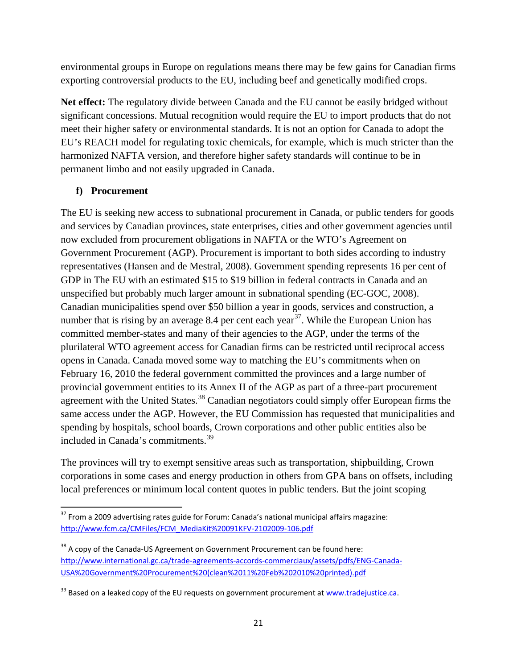environmental groups in Europe on regulations means there may be few gains for Canadian firms exporting controversial products to the EU, including beef and genetically modified crops.

**Net effect:** The regulatory divide between Canada and the EU cannot be easily bridged without significant concessions. Mutual recognition would require the EU to import products that do not meet their higher safety or environmental standards. It is not an option for Canada to adopt the EU's REACH model for regulating toxic chemicals, for example, which is much stricter than the harmonized NAFTA version, and therefore higher safety standards will continue to be in permanent limbo and not easily upgraded in Canada.

## **f) Procurement**

The EU is seeking new access to subnational procurement in Canada, or public tenders for goods and services by Canadian provinces, state enterprises, cities and other government agencies until now excluded from procurement obligations in NAFTA or the WTO's Agreement on Government Procurement (AGP). Procurement is important to both sides according to industry representatives (Hansen and de Mestral, 2008). Government spending represents 16 per cent of GDP in The EU with an estimated \$15 to \$19 billion in federal contracts in Canada and an unspecified but probably much larger amount in subnational spending (EC-GOC, 2008). Canadian municipalities spend over \$50 billion a year in goods, services and construction, a number that is rising by an average 8.4 per cent each year<sup>[37](#page-20-0)</sup>. While the European Union has committed member-states and many of their agencies to the AGP, under the terms of the plurilateral WTO agreement access for Canadian firms can be restricted until reciprocal access opens in Canada. Canada moved some way to matching the EU's commitments when on February 16, 2010 the federal government committed the provinces and a large number of provincial government entities to its Annex II of the AGP as part of a three-part procurement agreement with the United States.<sup>[38](#page-20-1)</sup> Canadian negotiators could simply offer European firms the same access under the AGP. However, the EU Commission has requested that municipalities and spending by hospitals, school boards, Crown corporations and other public entities also be included in Canada's commitments.<sup>[39](#page-20-2)</sup>

The provinces will try to exempt sensitive areas such as transportation, shipbuilding, Crown corporations in some cases and energy production in others from GPA bans on offsets, including local preferences or minimum local content quotes in public tenders. But the joint scoping

<span id="page-20-0"></span> $37$  From a 2009 advertising rates guide for Forum: Canada's national municipal affairs magazine: [http://www.fcm.ca/CMFiles/FCM\\_MediaKit%20091KFV-2102009-106.pdf](http://www.fcm.ca/CMFiles/FCM_MediaKit%20091KFV-2102009-106.pdf)

<span id="page-20-1"></span><sup>&</sup>lt;sup>38</sup> A copy of the Canada-US Agreement on Government Procurement can be found here: [http://www.international.gc.ca/trade-agreements-accords-commerciaux/assets/pdfs/ENG-Canada-](http://www.international.gc.ca/trade-agreements-accords-commerciaux/assets/pdfs/ENG-Canada-USA%20Government%20Procurement%20(clean%2011%20Feb%202010%20printed).pdf)[USA%20Government%20Procurement%20\(clean%2011%20Feb%202010%20printed\).pdf](http://www.international.gc.ca/trade-agreements-accords-commerciaux/assets/pdfs/ENG-Canada-USA%20Government%20Procurement%20(clean%2011%20Feb%202010%20printed).pdf)

<span id="page-20-2"></span> $39$  Based on a leaked copy of the EU requests on government procurement a[t www.tradejustice.ca.](http://www.tradejustice.ca/)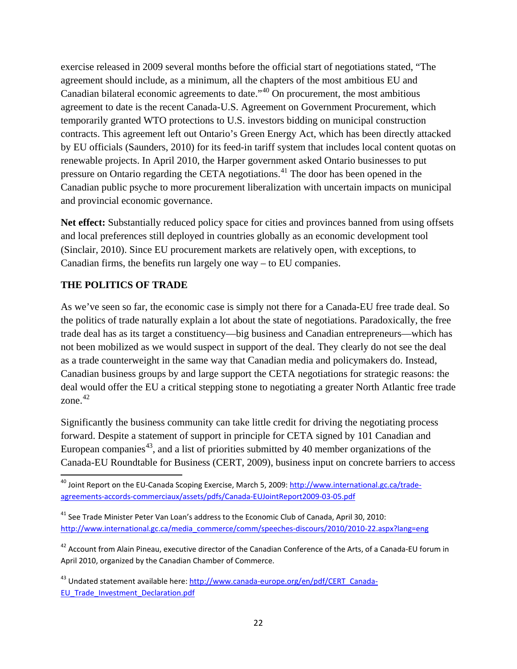exercise released in 2009 several months before the official start of negotiations stated, "The agreement should include, as a minimum, all the chapters of the most ambitious EU and Canadian bilateral economic agreements to date."[40](#page-21-0) On procurement, the most ambitious agreement to date is the recent Canada-U.S. Agreement on Government Procurement, which temporarily granted WTO protections to U.S. investors bidding on municipal construction contracts. This agreement left out Ontario's Green Energy Act, which has been directly attacked by EU officials (Saunders, 2010) for its feed-in tariff system that includes local content quotas on renewable projects. In April 2010, the Harper government asked Ontario businesses to put pressure on Ontario regarding the CETA negotiations.<sup>[41](#page-21-1)</sup> The door has been opened in the Canadian public psyche to more procurement liberalization with uncertain impacts on municipal and provincial economic governance.

**Net effect:** Substantially reduced policy space for cities and provinces banned from using offsets and local preferences still deployed in countries globally as an economic development tool (Sinclair, 2010). Since EU procurement markets are relatively open, with exceptions, to Canadian firms, the benefits run largely one way – to EU companies.

#### **THE POLITICS OF TRADE**

As we've seen so far, the economic case is simply not there for a Canada-EU free trade deal. So the politics of trade naturally explain a lot about the state of negotiations. Paradoxically, the free trade deal has as its target a constituency—big business and Canadian entrepreneurs—which has not been mobilized as we would suspect in support of the deal. They clearly do not see the deal as a trade counterweight in the same way that Canadian media and policymakers do. Instead, Canadian business groups by and large support the CETA negotiations for strategic reasons: the deal would offer the EU a critical stepping stone to negotiating a greater North Atlantic free trade zone. [42](#page-21-2)

Significantly the business community can take little credit for driving the negotiating process forward. Despite a statement of support in principle for CETA signed by 101 Canadian and European companies<sup>[43](#page-21-3)</sup>, and a list of priorities submitted by 40 member organizations of the Canada-EU Roundtable for Business (CERT, 2009), business input on concrete barriers to access

<span id="page-21-1"></span> $41$  See Trade Minister Peter Van Loan's address to the Economic Club of Canada, April 30, 2010: [http://www.international.gc.ca/media\\_commerce/comm/speeches-discours/2010/2010-22.aspx?lang=eng](http://www.international.gc.ca/media_commerce/comm/speeches-discours/2010/2010-22.aspx?lang=eng)

<span id="page-21-0"></span> <sup>40</sup> Joint Report on the EU-Canada Scoping Exercise, March 5, 2009: [http://www.international.gc.ca/trade](http://www.international.gc.ca/trade-agreements-accords-commerciaux/assets/pdfs/Canada-EUJointReport2009-03-05.pdf)[agreements-accords-commerciaux/assets/pdfs/Canada-EUJointReport2009-03-05.pdf](http://www.international.gc.ca/trade-agreements-accords-commerciaux/assets/pdfs/Canada-EUJointReport2009-03-05.pdf)

<span id="page-21-2"></span><sup>&</sup>lt;sup>42</sup> Account from Alain Pineau, executive director of the Canadian Conference of the Arts, of a Canada-EU forum in April 2010, organized by the Canadian Chamber of Commerce.

<span id="page-21-3"></span><sup>&</sup>lt;sup>43</sup> Undated statement available here[: http://www.canada-europe.org/en/pdf/CERT\\_Canada-](http://www.canada-europe.org/en/pdf/CERT_Canada-EU_Trade_Investment_Declaration.pdf)[EU\\_Trade\\_Investment\\_Declaration.pdf](http://www.canada-europe.org/en/pdf/CERT_Canada-EU_Trade_Investment_Declaration.pdf)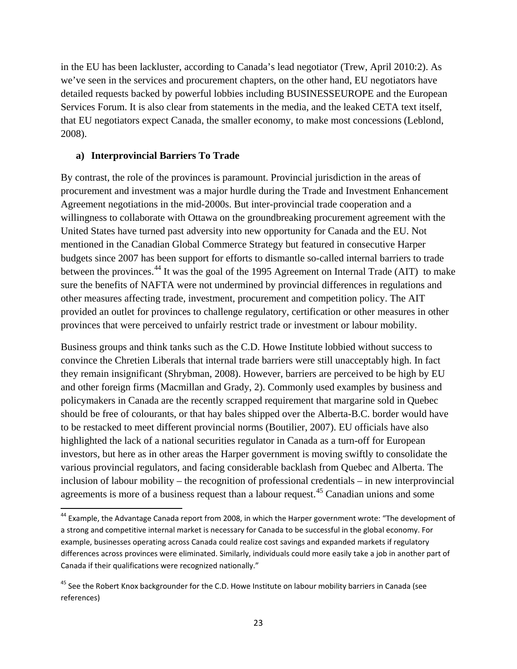in the EU has been lackluster, according to Canada's lead negotiator (Trew, April 2010:2). As we've seen in the services and procurement chapters, on the other hand, EU negotiators have detailed requests backed by powerful lobbies including BUSINESSEUROPE and the European Services Forum. It is also clear from statements in the media, and the leaked CETA text itself, that EU negotiators expect Canada, the smaller economy, to make most concessions (Leblond, 2008).

#### **a) Interprovincial Barriers To Trade**

By contrast, the role of the provinces is paramount. Provincial jurisdiction in the areas of procurement and investment was a major hurdle during the Trade and Investment Enhancement Agreement negotiations in the mid-2000s. But inter-provincial trade cooperation and a willingness to collaborate with Ottawa on the groundbreaking procurement agreement with the United States have turned past adversity into new opportunity for Canada and the EU. Not mentioned in the Canadian Global Commerce Strategy but featured in consecutive Harper budgets since 2007 has been support for efforts to dismantle so-called internal barriers to trade between the provinces.<sup>[44](#page-22-0)</sup> It was the goal of the 1995 Agreement on Internal Trade (AIT) to make sure the benefits of NAFTA were not undermined by provincial differences in regulations and other measures affecting trade, investment, procurement and competition policy. The AIT provided an outlet for provinces to challenge regulatory, certification or other measures in other provinces that were perceived to unfairly restrict trade or investment or labour mobility.

Business groups and think tanks such as the C.D. Howe Institute lobbied without success to convince the Chretien Liberals that internal trade barriers were still unacceptably high. In fact they remain insignificant (Shrybman, 2008). However, barriers are perceived to be high by EU and other foreign firms (Macmillan and Grady, 2). Commonly used examples by business and policymakers in Canada are the recently scrapped requirement that margarine sold in Quebec should be free of colourants, or that hay bales shipped over the Alberta-B.C. border would have to be restacked to meet different provincial norms (Boutilier, 2007). EU officials have also highlighted the lack of a national securities regulator in Canada as a turn-off for European investors, but here as in other areas the Harper government is moving swiftly to consolidate the various provincial regulators, and facing considerable backlash from Quebec and Alberta. The inclusion of labour mobility – the recognition of professional credentials – in new interprovincial agreements is more of a business request than a labour request.<sup>[45](#page-22-1)</sup> Canadian unions and some

<span id="page-22-0"></span><sup>&</sup>lt;sup>44</sup> Example, the Advantage Canada report from 2008, in which the Harper government wrote: "The development of a strong and competitive internal market is necessary for Canada to be successful in the global economy. For example, businesses operating across Canada could realize cost savings and expanded markets if regulatory differences across provinces were eliminated. Similarly, individuals could more easily take a job in another part of Canada if their qualifications were recognized nationally."

<span id="page-22-1"></span><sup>&</sup>lt;sup>45</sup> See the Robert Knox backgrounder for the C.D. Howe Institute on labour mobility barriers in Canada (see references)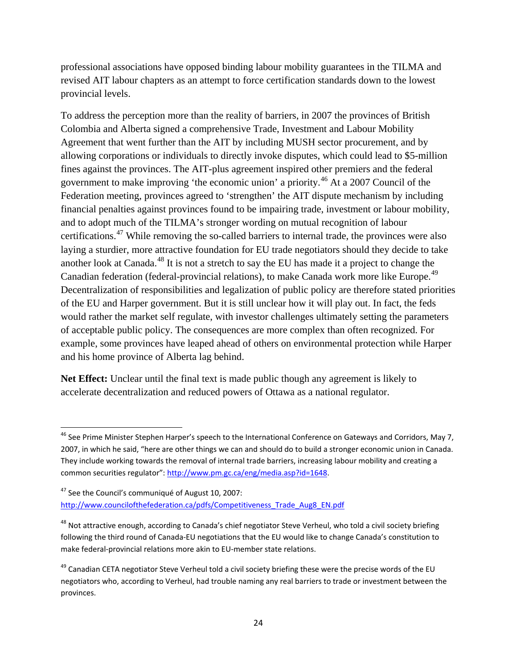professional associations have opposed binding labour mobility guarantees in the TILMA and revised AIT labour chapters as an attempt to force certification standards down to the lowest provincial levels.

To address the perception more than the reality of barriers, in 2007 the provinces of British Colombia and Alberta signed a comprehensive Trade, Investment and Labour Mobility Agreement that went further than the AIT by including MUSH sector procurement, and by allowing corporations or individuals to directly invoke disputes, which could lead to \$5-million fines against the provinces. The AIT-plus agreement inspired other premiers and the federal government to make improving 'the economic union' a priority.<sup>[46](#page-23-0)</sup> At a 2007 Council of the Federation meeting, provinces agreed to 'strengthen' the AIT dispute mechanism by including financial penalties against provinces found to be impairing trade, investment or labour mobility, and to adopt much of the TILMA's stronger wording on mutual recognition of labour certifications.[47](#page-23-1) While removing the so-called barriers to internal trade, the provinces were also laying a sturdier, more attractive foundation for EU trade negotiators should they decide to take another look at Canada.<sup>[48](#page-23-2)</sup> It is not a stretch to say the EU has made it a project to change the Canadian federation (federal-provincial relations), to make Canada work more like Europe.<sup>[49](#page-23-3)</sup> Decentralization of responsibilities and legalization of public policy are therefore stated priorities of the EU and Harper government. But it is still unclear how it will play out. In fact, the feds would rather the market self regulate, with investor challenges ultimately setting the parameters of acceptable public policy. The consequences are more complex than often recognized. For example, some provinces have leaped ahead of others on environmental protection while Harper and his home province of Alberta lag behind.

**Net Effect:** Unclear until the final text is made public though any agreement is likely to accelerate decentralization and reduced powers of Ottawa as a national regulator.

<span id="page-23-0"></span><sup>&</sup>lt;sup>46</sup> See Prime Minister Stephen Harper's speech to the International Conference on Gateways and Corridors, May 7, 2007, in which he said, "here are other things we can and should do to build a stronger economic union in Canada. They include working towards the removal of internal trade barriers, increasing labour mobility and creating a common securities regulator": [http://www.pm.gc.ca/eng/media.asp?id=1648.](http://www.pm.gc.ca/eng/media.asp?id=1648)

<span id="page-23-1"></span><sup>&</sup>lt;sup>47</sup> See the Council's communiqué of August 10, 2007: [http://www.councilofthefederation.ca/pdfs/Competitiveness\\_Trade\\_Aug8\\_EN.pdf](http://www.councilofthefederation.ca/pdfs/Competitiveness_Trade_Aug8_EN.pdf)

<span id="page-23-2"></span><sup>&</sup>lt;sup>48</sup> Not attractive enough, according to Canada's chief negotiator Steve Verheul, who told a civil society briefing following the third round of Canada-EU negotiations that the EU would like to change Canada's constitution to make federal-provincial relations more akin to EU-member state relations.

<span id="page-23-3"></span> $49$  Canadian CETA negotiator Steve Verheul told a civil society briefing these were the precise words of the EU negotiators who, according to Verheul, had trouble naming any real barriers to trade or investment between the provinces.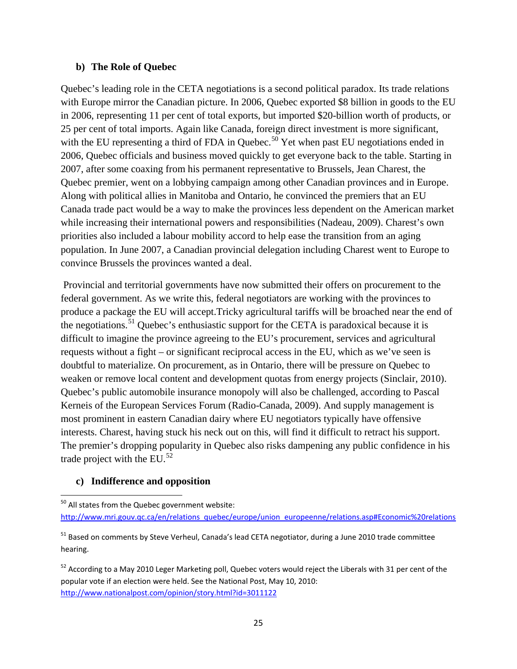#### **b) The Role of Quebec**

Quebec's leading role in the CETA negotiations is a second political paradox. Its trade relations with Europe mirror the Canadian picture. In 2006, Quebec exported \$8 billion in goods to the EU in 2006, representing 11 per cent of total exports, but imported \$20-billion worth of products, or 25 per cent of total imports. Again like Canada, foreign direct investment is more significant, with the EU representing a third of FDA in Quebec.<sup>[50](#page-24-0)</sup> Yet when past EU negotiations ended in 2006, Quebec officials and business moved quickly to get everyone back to the table. Starting in 2007, after some coaxing from his permanent representative to Brussels, Jean Charest, the Quebec premier, went on a lobbying campaign among other Canadian provinces and in Europe. Along with political allies in Manitoba and Ontario, he convinced the premiers that an EU Canada trade pact would be a way to make the provinces less dependent on the American market while increasing their international powers and responsibilities (Nadeau, 2009). Charest's own priorities also included a labour mobility accord to help ease the transition from an aging population. In June 2007, a Canadian provincial delegation including Charest went to Europe to convince Brussels the provinces wanted a deal.

Provincial and territorial governments have now submitted their offers on procurement to the federal government. As we write this, federal negotiators are working with the provinces to produce a package the EU will accept.Tricky agricultural tariffs will be broached near the end of the negotiations.<sup>[51](#page-24-1)</sup> Quebec's enthusiastic support for the CETA is paradoxical because it is difficult to imagine the province agreeing to the EU's procurement, services and agricultural requests without a fight – or significant reciprocal access in the EU, which as we've seen is doubtful to materialize. On procurement, as in Ontario, there will be pressure on Quebec to weaken or remove local content and development quotas from energy projects (Sinclair, 2010). Quebec's public automobile insurance monopoly will also be challenged, according to Pascal Kerneis of the European Services Forum (Radio-Canada, 2009). And supply management is most prominent in eastern Canadian dairy where EU negotiators typically have offensive interests. Charest, having stuck his neck out on this, will find it difficult to retract his support. The premier's dropping popularity in Quebec also risks dampening any public confidence in his trade project with the EU. $^{52}$  $^{52}$  $^{52}$ 

#### **c) Indifference and opposition**

<span id="page-24-0"></span><sup>&</sup>lt;sup>50</sup> All states from the Quebec government website: [http://www.mri.gouv.qc.ca/en/relations\\_quebec/europe/union\\_europeenne/relations.asp#Economic%20relations](http://www.mri.gouv.qc.ca/en/relations_quebec/europe/union_europeenne/relations.asp#Economic%20relations)

<span id="page-24-1"></span><sup>&</sup>lt;sup>51</sup> Based on comments by Steve Verheul, Canada's lead CETA negotiator, during a June 2010 trade committee hearing.

<span id="page-24-2"></span><sup>&</sup>lt;sup>52</sup> According to a May 2010 Leger Marketing poll, Quebec voters would reject the Liberals with 31 per cent of the popular vote if an election were held. See the National Post, May 10, 2010: <http://www.nationalpost.com/opinion/story.html?id=3011122>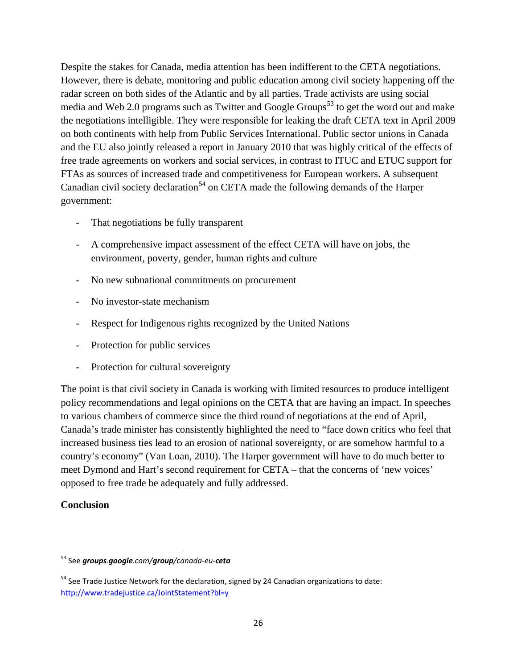Despite the stakes for Canada, media attention has been indifferent to the CETA negotiations. However, there is debate, monitoring and public education among civil society happening off the radar screen on both sides of the Atlantic and by all parties. Trade activists are using social media and Web 2.0 programs such as Twitter and Google Groups<sup>[53](#page-25-0)</sup> to get the word out and make the negotiations intelligible. They were responsible for leaking the draft CETA text in April 2009 on both continents with help from Public Services International. Public sector unions in Canada and the EU also jointly released a report in January 2010 that was highly critical of the effects of free trade agreements on workers and social services, in contrast to ITUC and ETUC support for FTAs as sources of increased trade and competitiveness for European workers. A subsequent Canadian civil society declaration<sup>[54](#page-25-1)</sup> on CETA made the following demands of the Harper government:

- That negotiations be fully transparent
- A comprehensive impact assessment of the effect CETA will have on jobs, the environment, poverty, gender, human rights and culture
- No new subnational commitments on procurement
- No investor-state mechanism
- Respect for Indigenous rights recognized by the United Nations
- Protection for public services
- Protection for cultural sovereignty

The point is that civil society in Canada is working with limited resources to produce intelligent policy recommendations and legal opinions on the CETA that are having an impact. In speeches to various chambers of commerce since the third round of negotiations at the end of April, Canada's trade minister has consistently highlighted the need to "face down critics who feel that increased business ties lead to an erosion of national sovereignty, or are somehow harmful to a country's economy" (Van Loan, 2010). The Harper government will have to do much better to meet Dymond and Hart's second requirement for CETA – that the concerns of 'new voices' opposed to free trade be adequately and fully addressed.

#### **Conclusion**

<span id="page-25-0"></span> <sup>53</sup> See *groups.google.com/group/canada-eu-ceta*

<span id="page-25-1"></span> $54$  See Trade Justice Network for the declaration, signed by 24 Canadian organizations to date: <http://www.tradejustice.ca/JointStatement?bl=y>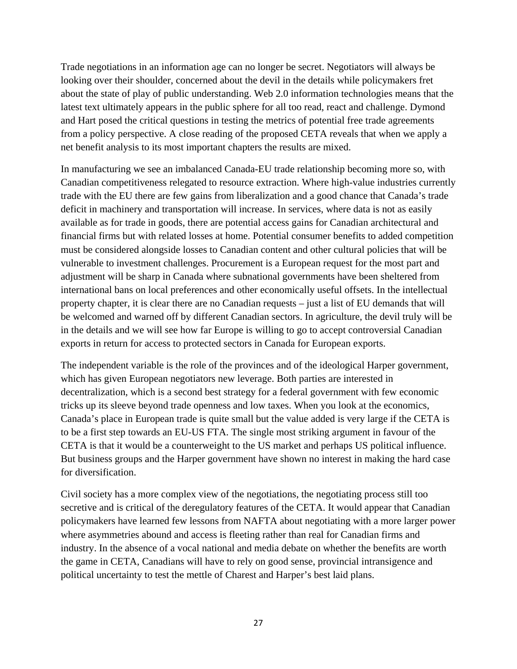Trade negotiations in an information age can no longer be secret. Negotiators will always be looking over their shoulder, concerned about the devil in the details while policymakers fret about the state of play of public understanding. Web 2.0 information technologies means that the latest text ultimately appears in the public sphere for all too read, react and challenge. Dymond and Hart posed the critical questions in testing the metrics of potential free trade agreements from a policy perspective. A close reading of the proposed CETA reveals that when we apply a net benefit analysis to its most important chapters the results are mixed.

In manufacturing we see an imbalanced Canada-EU trade relationship becoming more so, with Canadian competitiveness relegated to resource extraction. Where high-value industries currently trade with the EU there are few gains from liberalization and a good chance that Canada's trade deficit in machinery and transportation will increase. In services, where data is not as easily available as for trade in goods, there are potential access gains for Canadian architectural and financial firms but with related losses at home. Potential consumer benefits to added competition must be considered alongside losses to Canadian content and other cultural policies that will be vulnerable to investment challenges. Procurement is a European request for the most part and adjustment will be sharp in Canada where subnational governments have been sheltered from international bans on local preferences and other economically useful offsets. In the intellectual property chapter, it is clear there are no Canadian requests – just a list of EU demands that will be welcomed and warned off by different Canadian sectors. In agriculture, the devil truly will be in the details and we will see how far Europe is willing to go to accept controversial Canadian exports in return for access to protected sectors in Canada for European exports.

The independent variable is the role of the provinces and of the ideological Harper government, which has given European negotiators new leverage. Both parties are interested in decentralization, which is a second best strategy for a federal government with few economic tricks up its sleeve beyond trade openness and low taxes. When you look at the economics, Canada's place in European trade is quite small but the value added is very large if the CETA is to be a first step towards an EU-US FTA. The single most striking argument in favour of the CETA is that it would be a counterweight to the US market and perhaps US political influence. But business groups and the Harper government have shown no interest in making the hard case for diversification.

Civil society has a more complex view of the negotiations, the negotiating process still too secretive and is critical of the deregulatory features of the CETA. It would appear that Canadian policymakers have learned few lessons from NAFTA about negotiating with a more larger power where asymmetries abound and access is fleeting rather than real for Canadian firms and industry. In the absence of a vocal national and media debate on whether the benefits are worth the game in CETA, Canadians will have to rely on good sense, provincial intransigence and political uncertainty to test the mettle of Charest and Harper's best laid plans.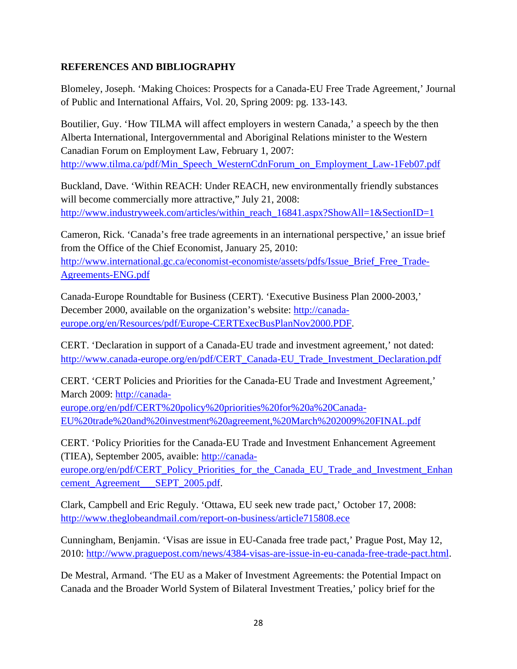### **REFERENCES AND BIBLIOGRAPHY**

Blomeley, Joseph. 'Making Choices: Prospects for a Canada-EU Free Trade Agreement,' Journal of Public and International Affairs, Vol. 20, Spring 2009: pg. 133-143.

Boutilier, Guy. 'How TILMA will affect employers in western Canada,' a speech by the then Alberta International, Intergovernmental and Aboriginal Relations minister to the Western Canadian Forum on Employment Law, February 1, 2007: [http://www.tilma.ca/pdf/Min\\_Speech\\_WesternCdnForum\\_on\\_Employment\\_Law-1Feb07.pdf](http://www.tilma.ca/pdf/Min_Speech_WesternCdnForum_on_Employment_Law-1Feb07.pdf)

Buckland, Dave. 'Within REACH: Under REACH, new environmentally friendly substances will become commercially more attractive," July 21, 2008: [http://www.industryweek.com/articles/within\\_reach\\_16841.aspx?ShowAll=1&SectionID=1](http://www.industryweek.com/articles/within_reach_16841.aspx?ShowAll=1&SectionID=1)

Cameron, Rick. 'Canada's free trade agreements in an international perspective,' an issue brief from the Office of the Chief Economist, January 25, 2010: http://www.international.gc.ca/economist-economiste/assets/pdfs/Issue Brief Free Trade-[Agreements-ENG.pdf](http://www.international.gc.ca/economist-economiste/assets/pdfs/Issue_Brief_Free_Trade-Agreements-ENG.pdf)

Canada-Europe Roundtable for Business (CERT). 'Executive Business Plan 2000-2003,' December 2000, available on the organization's website: [http://canada](http://canada-europe.org/en/Resources/pdf/Europe-CERTExecBusPlanNov2000.PDF)[europe.org/en/Resources/pdf/Europe-CERTExecBusPlanNov2000.PDF.](http://canada-europe.org/en/Resources/pdf/Europe-CERTExecBusPlanNov2000.PDF)

CERT. 'Declaration in support of a Canada-EU trade and investment agreement,' not dated: [http://www.canada-europe.org/en/pdf/CERT\\_Canada-EU\\_Trade\\_Investment\\_Declaration.pdf](http://www.canada-europe.org/en/pdf/CERT_Canada-EU_Trade_Investment_Declaration.pdf)

CERT. 'CERT Policies and Priorities for the Canada-EU Trade and Investment Agreement,' March 2009: [http://canada-](http://canada-europe.org/en/pdf/CERT%20policy%20priorities%20for%20a%20Canada-EU%20trade%20and%20investment%20agreement,%20March%202009%20FINAL.pdf)

[europe.org/en/pdf/CERT%20policy%20priorities%20for%20a%20Canada-](http://canada-europe.org/en/pdf/CERT%20policy%20priorities%20for%20a%20Canada-EU%20trade%20and%20investment%20agreement,%20March%202009%20FINAL.pdf)[EU%20trade%20and%20investment%20agreement,%20March%202009%20FINAL.pdf](http://canada-europe.org/en/pdf/CERT%20policy%20priorities%20for%20a%20Canada-EU%20trade%20and%20investment%20agreement,%20March%202009%20FINAL.pdf)

CERT. 'Policy Priorities for the Canada-EU Trade and Investment Enhancement Agreement (TIEA), September 2005, avaible: [http://canada-](http://canada-europe.org/en/pdf/CERT_Policy_Priorities_for_the_Canada_EU_Trade_and_Investment_Enhancement_Agreement___SEPT_2005.pdf)

[europe.org/en/pdf/CERT\\_Policy\\_Priorities\\_for\\_the\\_Canada\\_EU\\_Trade\\_and\\_Investment\\_Enhan](http://canada-europe.org/en/pdf/CERT_Policy_Priorities_for_the_Canada_EU_Trade_and_Investment_Enhancement_Agreement___SEPT_2005.pdf) [cement\\_Agreement\\_\\_\\_SEPT\\_2005.pdf.](http://canada-europe.org/en/pdf/CERT_Policy_Priorities_for_the_Canada_EU_Trade_and_Investment_Enhancement_Agreement___SEPT_2005.pdf)

Clark, Campbell and Eric Reguly. 'Ottawa, EU seek new trade pact,' October 17, 2008: <http://www.theglobeandmail.com/report-on-business/article715808.ece>

Cunningham, Benjamin. 'Visas are issue in EU-Canada free trade pact,' Prague Post, May 12, 2010: [http://www.praguepost.com/news/4384-visas-are-issue-in-eu-canada-free-trade-pact.html.](http://www.praguepost.com/news/4384-visas-are-issue-in-eu-canada-free-trade-pact.html)

De Mestral, Armand. 'The EU as a Maker of Investment Agreements: the Potential Impact on Canada and the Broader World System of Bilateral Investment Treaties,' policy brief for the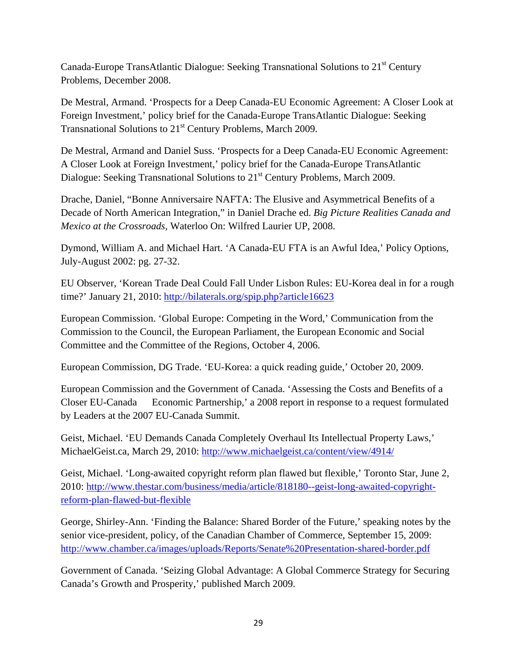Canada-Europe TransAtlantic Dialogue: Seeking Transnational Solutions to 21<sup>st</sup> Century Problems, December 2008.

De Mestral, Armand. 'Prospects for a Deep Canada-EU Economic Agreement: A Closer Look at Foreign Investment,' policy brief for the Canada-Europe TransAtlantic Dialogue: Seeking Transnational Solutions to 21<sup>st</sup> Century Problems, March 2009.

De Mestral, Armand and Daniel Suss. 'Prospects for a Deep Canada-EU Economic Agreement: A Closer Look at Foreign Investment,' policy brief for the Canada-Europe TransAtlantic Dialogue: Seeking Transnational Solutions to 21<sup>st</sup> Century Problems, March 2009.

Drache, Daniel, "Bonne Anniversaire NAFTA: The Elusive and Asymmetrical Benefits of a Decade of North American Integration," in Daniel Drache ed. *Big Picture Realities Canada and Mexico at the Crossroads*, Waterloo On: Wilfred Laurier UP, 2008.

Dymond, William A. and Michael Hart. 'A Canada-EU FTA is an Awful Idea,' Policy Options, July-August 2002: pg. 27-32.

EU Observer, 'Korean Trade Deal Could Fall Under Lisbon Rules: EU-Korea deal in for a rough time?' January 21, 2010:<http://bilaterals.org/spip.php?article16623>

European Commission. 'Global Europe: Competing in the Word,' Communication from the Commission to the Council, the European Parliament, the European Economic and Social Committee and the Committee of the Regions, October 4, 2006.

European Commission, DG Trade. 'EU-Korea: a quick reading guide,' October 20, 2009.

European Commission and the Government of Canada. 'Assessing the Costs and Benefits of a Closer EU-Canada Economic Partnership,' a 2008 report in response to a request formulated by Leaders at the 2007 EU-Canada Summit.

Geist, Michael. 'EU Demands Canada Completely Overhaul Its Intellectual Property Laws,' MichaelGeist.ca, March 29, 2010:<http://www.michaelgeist.ca/content/view/4914/>

Geist, Michael. 'Long-awaited copyright reform plan flawed but flexible,' Toronto Star, June 2, 2010: [http://www.thestar.com/business/media/article/818180--geist-long-awaited-copyright](http://www.thestar.com/business/media/article/818180--geist-long-awaited-copyright-reform-plan-flawed-but-flexible)[reform-plan-flawed-but-flexible](http://www.thestar.com/business/media/article/818180--geist-long-awaited-copyright-reform-plan-flawed-but-flexible)

George, Shirley-Ann. 'Finding the Balance: Shared Border of the Future,' speaking notes by the senior vice-president, policy, of the Canadian Chamber of Commerce, September 15, 2009: <http://www.chamber.ca/images/uploads/Reports/Senate%20Presentation-shared-border.pdf>

Government of Canada. 'Seizing Global Advantage: A Global Commerce Strategy for Securing Canada's Growth and Prosperity,' published March 2009.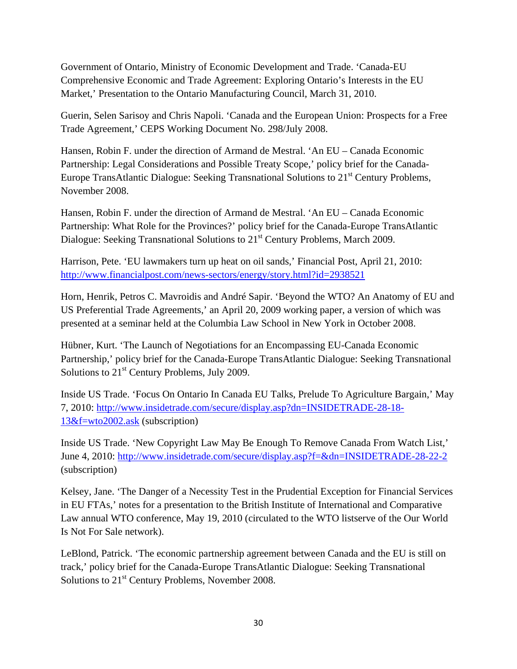Government of Ontario, Ministry of Economic Development and Trade. 'Canada-EU Comprehensive Economic and Trade Agreement: Exploring Ontario's Interests in the EU Market,' Presentation to the Ontario Manufacturing Council, March 31, 2010.

Guerin, Selen Sarisoy and Chris Napoli. 'Canada and the European Union: Prospects for a Free Trade Agreement,' CEPS Working Document No. 298/July 2008.

Hansen, Robin F. under the direction of Armand de Mestral. 'An EU – Canada Economic Partnership: Legal Considerations and Possible Treaty Scope,' policy brief for the Canada-Europe TransAtlantic Dialogue: Seeking Transnational Solutions to 21<sup>st</sup> Century Problems, November 2008.

Hansen, Robin F. under the direction of Armand de Mestral. 'An EU – Canada Economic Partnership: What Role for the Provinces?' policy brief for the Canada-Europe TransAtlantic Dialogue: Seeking Transnational Solutions to 21<sup>st</sup> Century Problems, March 2009.

Harrison, Pete. 'EU lawmakers turn up heat on oil sands,' Financial Post, April 21, 2010: <http://www.financialpost.com/news-sectors/energy/story.html?id=2938521>

Horn, Henrik, Petros C. Mavroidis and André Sapir. 'Beyond the WTO? An Anatomy of EU and US Preferential Trade Agreements,' an April 20, 2009 working paper, a version of which was presented at a seminar held at the Columbia Law School in New York in October 2008.

Hübner, Kurt. 'The Launch of Negotiations for an Encompassing EU-Canada Economic Partnership,' policy brief for the Canada-Europe TransAtlantic Dialogue: Seeking Transnational Solutions to  $21<sup>st</sup>$  Century Problems, July 2009.

Inside US Trade. 'Focus On Ontario In Canada EU Talks, Prelude To Agriculture Bargain,' May 7, 2010: [http://www.insidetrade.com/secure/display.asp?dn=INSIDETRADE-28-18-](http://www.insidetrade.com/secure/display.asp?dn=INSIDETRADE-28-18-13&f=wto2002.ask) [13&f=wto2002.ask](http://www.insidetrade.com/secure/display.asp?dn=INSIDETRADE-28-18-13&f=wto2002.ask) (subscription)

Inside US Trade. 'New Copyright Law May Be Enough To Remove Canada From Watch List,' June 4, 2010:<http://www.insidetrade.com/secure/display.asp?f=&dn=INSIDETRADE-28-22-2> (subscription)

Kelsey, Jane. 'The Danger of a Necessity Test in the Prudential Exception for Financial Services in EU FTAs,' notes for a presentation to the British Institute of International and Comparative Law annual WTO conference, May 19, 2010 (circulated to the WTO listserve of the Our World Is Not For Sale network).

LeBlond, Patrick. 'The economic partnership agreement between Canada and the EU is still on track,' policy brief for the Canada-Europe TransAtlantic Dialogue: Seeking Transnational Solutions to 21<sup>st</sup> Century Problems, November 2008.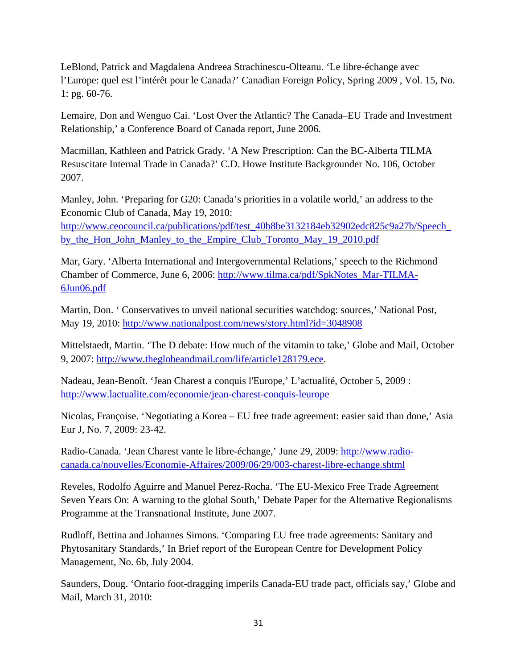LeBlond, Patrick and Magdalena Andreea Strachinescu-Olteanu. 'Le libre-échange avec l'Europe: quel est l'intérêt pour le Canada?' Canadian Foreign Policy, Spring 2009 , Vol. 15, No. 1: pg. 60-76.

Lemaire, Don and Wenguo Cai. 'Lost Over the Atlantic? The Canada–EU Trade and Investment Relationship,' a Conference Board of Canada report, June 2006.

Macmillan, Kathleen and Patrick Grady. 'A New Prescription: Can the BC-Alberta TILMA Resuscitate Internal Trade in Canada?' C.D. Howe Institute Backgrounder No. 106, October 2007.

Manley, John. 'Preparing for G20: Canada's priorities in a volatile world,' an address to the Economic Club of Canada, May 19, 2010: [http://www.ceocouncil.ca/publications/pdf/test\\_40b8be3132184eb32902edc825c9a27b/Speech\\_](http://www.ceocouncil.ca/publications/pdf/test_40b8be3132184eb32902edc825c9a27b/Speech_by_the_Hon_John_Manley_to_the_Empire_Club_Toronto_May_19_2010.pdf) [by\\_the\\_Hon\\_John\\_Manley\\_to\\_the\\_Empire\\_Club\\_Toronto\\_May\\_19\\_2010.pdf](http://www.ceocouncil.ca/publications/pdf/test_40b8be3132184eb32902edc825c9a27b/Speech_by_the_Hon_John_Manley_to_the_Empire_Club_Toronto_May_19_2010.pdf)

Mar, Gary. 'Alberta International and Intergovernmental Relations,' speech to the Richmond Chamber of Commerce, June 6, 2006: [http://www.tilma.ca/pdf/SpkNotes\\_Mar-TILMA-](http://www.tilma.ca/pdf/SpkNotes_Mar-TILMA-6Jun06.pdf)[6Jun06.pdf](http://www.tilma.ca/pdf/SpkNotes_Mar-TILMA-6Jun06.pdf)

Martin, Don. 'Conservatives to unveil national securities watchdog: sources,' National Post, May 19, 2010:<http://www.nationalpost.com/news/story.html?id=3048908>

Mittelstaedt, Martin. 'The D debate: How much of the vitamin to take,' Globe and Mail, October 9, 2007: [http://www.theglobeandmail.com/life/article128179.ece.](http://www.theglobeandmail.com/life/article128179.ece)

Nadeau, Jean-Benoît. 'Jean Charest a conquis l'Europe,' L'actualité, October 5, 2009 : <http://www.lactualite.com/economie/jean-charest-conquis-leurope>

Nicolas, Françoise. 'Negotiating a Korea – EU free trade agreement: easier said than done,' Asia Eur J, No. 7, 2009: 23-42.

Radio-Canada. 'Jean Charest vante le libre-échange,' June 29, 2009: [http://www.radio](http://www.radio-canada.ca/nouvelles/Economie-Affaires/2009/06/29/003-charest-libre-echange.shtml)[canada.ca/nouvelles/Economie-Affaires/2009/06/29/003-charest-libre-echange.shtml](http://www.radio-canada.ca/nouvelles/Economie-Affaires/2009/06/29/003-charest-libre-echange.shtml)

Reveles, Rodolfo Aguirre and Manuel Perez-Rocha. 'The EU-Mexico Free Trade Agreement Seven Years On: A warning to the global South,' Debate Paper for the Alternative Regionalisms Programme at the Transnational Institute, June 2007.

Rudloff, Bettina and Johannes Simons. 'Comparing EU free trade agreements: Sanitary and Phytosanitary Standards,' In Brief report of the European Centre for Development Policy Management, No. 6b, July 2004.

Saunders, Doug. 'Ontario foot-dragging imperils Canada-EU trade pact, officials say,' Globe and Mail, March 31, 2010: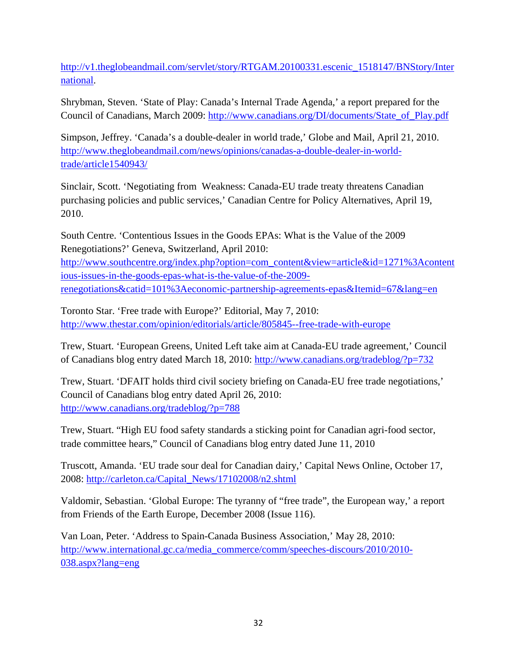[http://v1.theglobeandmail.com/servlet/story/RTGAM.20100331.escenic\\_1518147/BNStory/Inter](http://v1.theglobeandmail.com/servlet/story/RTGAM.20100331.escenic_1518147/BNStory/International) [national.](http://v1.theglobeandmail.com/servlet/story/RTGAM.20100331.escenic_1518147/BNStory/International)

Shrybman, Steven. 'State of Play: Canada's Internal Trade Agenda,' a report prepared for the Council of Canadians, March 2009: [http://www.canadians.org/DI/documents/State\\_of\\_Play.pdf](http://www.canadians.org/DI/documents/State_of_Play.pdf)

Simpson, Jeffrey. 'Canada's a double-dealer in world trade,' Globe and Mail, April 21, 2010. [http://www.theglobeandmail.com/news/opinions/canadas-a-double-dealer-in-world](http://www.theglobeandmail.com/news/opinions/canadas-a-double-dealer-in-world-trade/article1540943/)[trade/article1540943/](http://www.theglobeandmail.com/news/opinions/canadas-a-double-dealer-in-world-trade/article1540943/)

Sinclair, Scott. 'Negotiating from Weakness: Canada-EU trade treaty threatens Canadian purchasing policies and public services,' Canadian Centre for Policy Alternatives, April 19, 2010.

South Centre. 'Contentious Issues in the Goods EPAs: What is the Value of the 2009 Renegotiations?' Geneva, Switzerland, April 2010: [http://www.southcentre.org/index.php?option=com\\_content&view=article&id=1271%3Acontent](http://www.southcentre.org/index.php?option=com_content&view=article&id=1271%3Acontentious-issues-in-the-goods-epas-what-is-the-value-of-the-2009-renegotiations&catid=101%3Aeconomic-partnership-agreements-epas&Itemid=67&lang=en) [ious-issues-in-the-goods-epas-what-is-the-value-of-the-2009](http://www.southcentre.org/index.php?option=com_content&view=article&id=1271%3Acontentious-issues-in-the-goods-epas-what-is-the-value-of-the-2009-renegotiations&catid=101%3Aeconomic-partnership-agreements-epas&Itemid=67&lang=en) [renegotiations&catid=101%3Aeconomic-partnership-agreements-epas&Itemid=67&lang=en](http://www.southcentre.org/index.php?option=com_content&view=article&id=1271%3Acontentious-issues-in-the-goods-epas-what-is-the-value-of-the-2009-renegotiations&catid=101%3Aeconomic-partnership-agreements-epas&Itemid=67&lang=en)

Toronto Star. 'Free trade with Europe?' Editorial, May 7, 2010: <http://www.thestar.com/opinion/editorials/article/805845--free-trade-with-europe>

Trew, Stuart. 'European Greens, United Left take aim at Canada-EU trade agreement,' Council of Canadians blog entry dated March 18, 2010:<http://www.canadians.org/tradeblog/?p=732>

Trew, Stuart. 'DFAIT holds third civil society briefing on Canada-EU free trade negotiations,' Council of Canadians blog entry dated April 26, 2010: <http://www.canadians.org/tradeblog/?p=788>

Trew, Stuart. "High EU food safety standards a sticking point for Canadian agri-food sector, trade committee hears," Council of Canadians blog entry dated June 11, 2010

Truscott, Amanda. 'EU trade sour deal for Canadian dairy,' Capital News Online, October 17, 2008: [http://carleton.ca/Capital\\_News/17102008/n2.shtml](http://carleton.ca/Capital_News/17102008/n2.shtml)

Valdomir, Sebastian. 'Global Europe: The tyranny of "free trade", the European way,' a report from Friends of the Earth Europe, December 2008 (Issue 116).

Van Loan, Peter. 'Address to Spain-Canada Business Association,' May 28, 2010: [http://www.international.gc.ca/media\\_commerce/comm/speeches-discours/2010/2010-](http://www.international.gc.ca/media_commerce/comm/speeches-discours/2010/2010-038.aspx?lang=eng) [038.aspx?lang=eng](http://www.international.gc.ca/media_commerce/comm/speeches-discours/2010/2010-038.aspx?lang=eng)